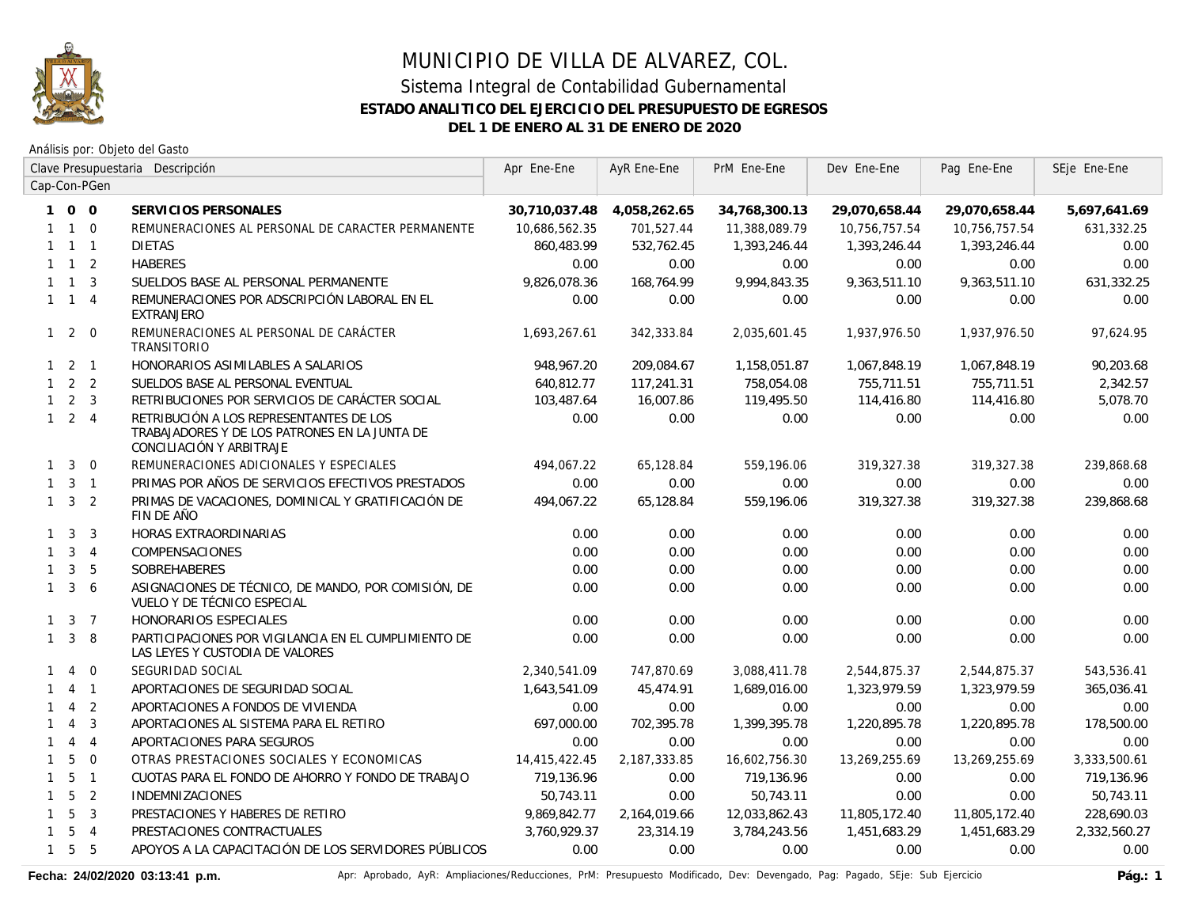

Análisis por: Objeto del Gasto

|              |                     |                | Clave Presupuestaria Descripción                                                                                     | Apr Ene-Ene   | AyR Ene-Ene  | PrM Ene-Ene   | Dev Ene-Ene   | Pag Ene-Ene   | SEje Ene-Ene |
|--------------|---------------------|----------------|----------------------------------------------------------------------------------------------------------------------|---------------|--------------|---------------|---------------|---------------|--------------|
|              |                     | Cap-Con-PGen   |                                                                                                                      |               |              |               |               |               |              |
|              | 100                 |                | SERVICIOS PERSONALES                                                                                                 | 30,710,037.48 | 4,058,262.65 | 34,768,300.13 | 29,070,658.44 | 29,070,658.44 | 5,697,641.69 |
|              | $1 \quad 1 \quad 0$ |                | REMUNERACIONES AL PERSONAL DE CARACTER PERMANENTE                                                                    | 10,686,562.35 | 701,527.44   | 11,388,089.79 | 10,756,757.54 | 10,756,757.54 | 631,332.25   |
|              | $1 \quad 1 \quad 1$ |                | <b>DIETAS</b>                                                                                                        | 860.483.99    | 532,762.45   | 1,393,246.44  | 1,393,246.44  | 1,393,246.44  | 0.00         |
|              | $1 \quad 1 \quad 2$ |                | <b>HABERES</b>                                                                                                       | 0.00          | 0.00         | 0.00          | 0.00          | 0.00          | 0.00         |
|              | $1 \quad 1$         | $\overline{3}$ | SUELDOS BASE AL PERSONAL PERMANENTE                                                                                  | 9,826,078.36  | 168,764.99   | 9,994,843.35  | 9,363,511.10  | 9,363,511.10  | 631,332.25   |
|              | $1 \quad 1 \quad 4$ |                | REMUNERACIONES POR ADSCRIPCIÓN LABORAL EN EL<br><b>EXTRANJERO</b>                                                    | 0.00          | 0.00         | 0.00          | 0.00          | 0.00          | 0.00         |
|              | $1 \quad 2 \quad 0$ |                | REMUNERACIONES AL PERSONAL DE CARÁCTER<br>TRANSITORIO                                                                | 1.693.267.61  | 342,333.84   | 2.035.601.45  | 1,937,976.50  | 1,937,976.50  | 97,624.95    |
|              | $1 \quad 2 \quad 1$ |                | HONORARIOS ASIMILABLES A SALARIOS                                                                                    | 948,967.20    | 209,084.67   | 1,158,051.87  | 1,067,848.19  | 1,067,848.19  | 90,203.68    |
|              | $1 \quad 2 \quad 2$ |                | SUELDOS BASE AL PERSONAL EVENTUAL                                                                                    | 640,812.77    | 117,241.31   | 758,054.08    | 755,711.51    | 755,711.51    | 2,342.57     |
|              | $1 \quad 2 \quad 3$ |                | RETRIBUCIONES POR SERVICIOS DE CARÁCTER SOCIAL                                                                       | 103,487.64    | 16,007.86    | 119,495.50    | 114,416.80    | 114,416.80    | 5.078.70     |
|              | $1 \quad 2 \quad 4$ |                | RETRIBUCIÓN A LOS REPRESENTANTES DE LOS<br>TRABAJADORES Y DE LOS PATRONES EN LA JUNTA DE<br>CONCILIACIÓN Y ARBITRAJE | 0.00          | 0.00         | 0.00          | 0.00          | 0.00          | 0.00         |
| $\mathbf{1}$ | $\overline{3}$      | $\overline{0}$ | REMUNERACIONES ADICIONALES Y ESPECIALES                                                                              | 494.067.22    | 65,128.84    | 559,196.06    | 319,327.38    | 319,327.38    | 239,868.68   |
|              | $1 \quad 3 \quad 1$ |                | PRIMAS POR AÑOS DE SERVICIOS EFECTIVOS PRESTADOS                                                                     | 0.00          | 0.00         | 0.00          | 0.00          | 0.00          | 0.00         |
|              | $1 \quad 3 \quad 2$ |                | PRIMAS DE VACACIONES, DOMINICAL Y GRATIFICACIÓN DE<br>FIN DE AÑO                                                     | 494,067.22    | 65,128.84    | 559,196.06    | 319,327.38    | 319,327.38    | 239,868.68   |
|              | $1 \quad 3$         | 3              | HORAS EXTRAORDINARIAS                                                                                                | 0.00          | 0.00         | 0.00          | 0.00          | 0.00          | 0.00         |
|              | $1 \quad 3 \quad 4$ |                | <b>COMPENSACIONES</b>                                                                                                | 0.00          | 0.00         | 0.00          | 0.00          | 0.00          | 0.00         |
| $\mathbf{1}$ | $\mathbf{3}$        | 5              | SOBREHABERES                                                                                                         | 0.00          | 0.00         | 0.00          | 0.00          | 0.00          | 0.00         |
| $\mathbf{1}$ |                     | 3 <sub>6</sub> | ASIGNACIONES DE TÉCNICO, DE MANDO, POR COMISIÓN, DE<br>VUELO Y DE TÉCNICO ESPECIAL                                   | 0.00          | 0.00         | 0.00          | 0.00          | 0.00          | 0.00         |
|              | $1 \quad 3 \quad 7$ |                | HONORARIOS ESPECIALES                                                                                                | 0.00          | 0.00         | 0.00          | 0.00          | 0.00          | 0.00         |
| $\mathbf{1}$ | 3                   | 8              | PARTICIPACIONES POR VIGILANCIA EN EL CUMPLIMIENTO DE<br>LAS LEYES Y CUSTODIA DE VALORES                              | 0.00          | 0.00         | 0.00          | 0.00          | 0.00          | 0.00         |
| $\mathbf{1}$ | $\overline{4}$      | $\overline{0}$ | SEGURIDAD SOCIAL                                                                                                     | 2,340,541.09  | 747,870.69   | 3,088,411.78  | 2,544,875.37  | 2,544,875.37  | 543,536.41   |
| 1            | $\overline{4}$      | $\overline{1}$ | APORTACIONES DE SEGURIDAD SOCIAL                                                                                     | 1,643,541.09  | 45.474.91    | 1,689,016.00  | 1,323,979.59  | 1,323,979.59  | 365,036.41   |
| $\mathbf{1}$ | $\overline{4}$      | 2              | APORTACIONES A FONDOS DE VIVIENDA                                                                                    | 0.00          | 0.00         | 0.00          | 0.00          | 0.00          | 0.00         |
| $\mathbf{1}$ | $\overline{4}$      | $\overline{3}$ | APORTACIONES AL SISTEMA PARA EL RETIRO                                                                               | 697,000.00    | 702,395.78   | 1,399,395.78  | 1,220,895.78  | 1,220,895.78  | 178,500.00   |
| $\mathbf{1}$ | $\overline{4}$      | $\overline{4}$ | APORTACIONES PARA SEGUROS                                                                                            | 0.00          | 0.00         | 0.00          | 0.00          | 0.00          | 0.00         |
| $\mathbf{1}$ | 5                   | $\Omega$       | OTRAS PRESTACIONES SOCIALES Y ECONOMICAS                                                                             | 14,415,422.45 | 2,187,333.85 | 16,602,756.30 | 13,269,255.69 | 13,269,255.69 | 3,333,500.61 |
| $\mathbf{1}$ | 5 <sub>1</sub>      |                | CUOTAS PARA EL FONDO DE AHORRO Y FONDO DE TRABAJO                                                                    | 719,136.96    | 0.00         | 719,136.96    | 0.00          | 0.00          | 719,136.96   |
| $\mathbf{1}$ | 5                   | $\overline{2}$ | <b>INDEMNIZACIONES</b>                                                                                               | 50,743.11     | 0.00         | 50,743.11     | 0.00          | 0.00          | 50,743.11    |
| $\mathbf{1}$ | 5                   | $\overline{3}$ | PRESTACIONES Y HABERES DE RETIRO                                                                                     | 9,869,842.77  | 2,164,019.66 | 12,033,862.43 | 11,805,172.40 | 11,805,172.40 | 228,690.03   |
| $\mathbf{1}$ | 5                   | $\overline{4}$ | PRESTACIONES CONTRACTUALES                                                                                           | 3,760,929.37  | 23,314.19    | 3,784,243.56  | 1,451,683.29  | 1,451,683.29  | 2,332,560.27 |
| $\mathbf{1}$ |                     | 5 <sub>5</sub> | APOYOS A LA CAPACITACIÓN DE LOS SERVIDORES PÚBLICOS                                                                  | 0.00          | 0.00         | 0.00          | 0.00          | 0.00          | 0.00         |

Fecha: 24/02/2020 03:13:41 p.m. **Aprichationes/Reducciones, PrM: Presupuesto Modificado**, Dev: Devengado, Pag: Pagado, SEje: Sub Ejercicio Pág.: 1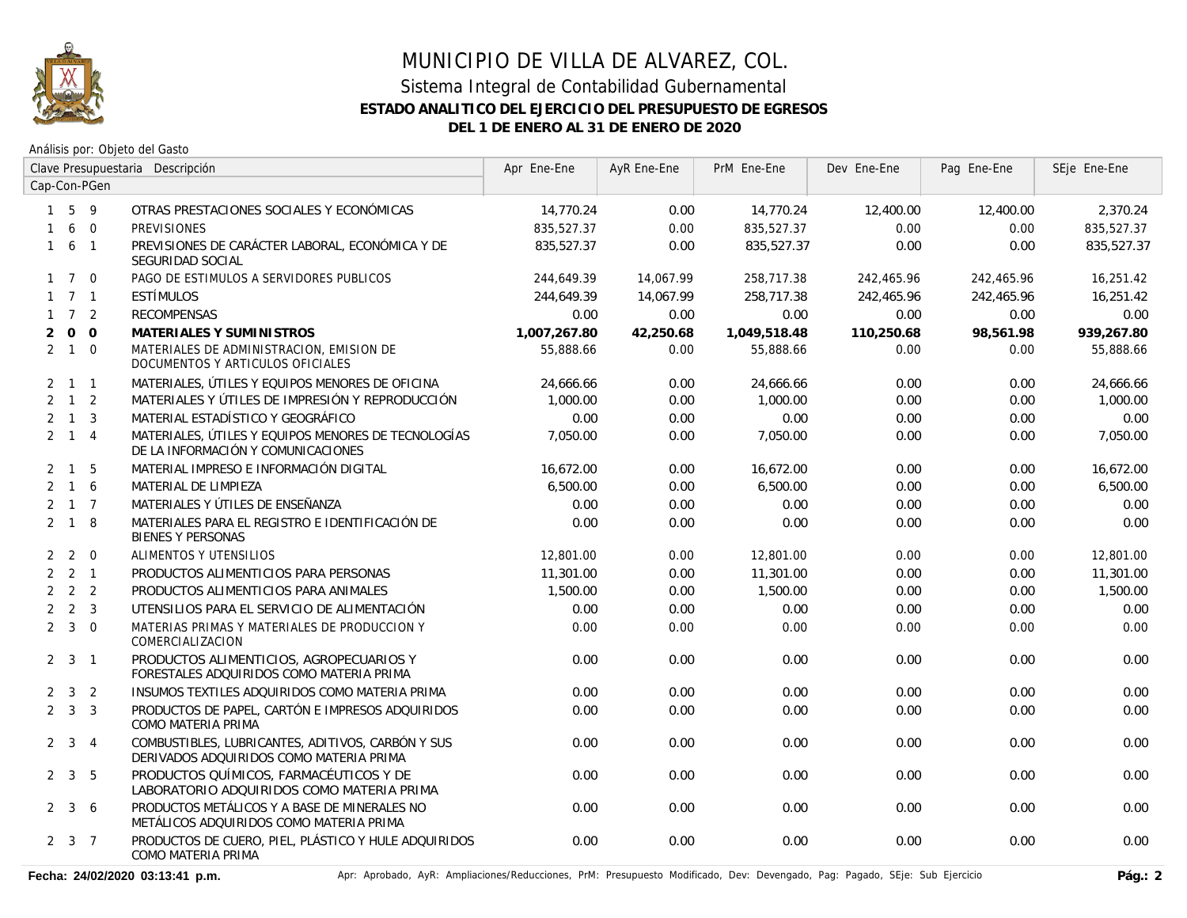

Análisis por: Objeto del Gasto

|                |                     | Clave Presupuestaria Descripción |                                                                                              | Apr Ene-Ene  | AyR Ene-Ene | PrM Ene-Ene  | Dev Ene-Ene | Pag Ene-Ene | SEje Ene-Ene |
|----------------|---------------------|----------------------------------|----------------------------------------------------------------------------------------------|--------------|-------------|--------------|-------------|-------------|--------------|
|                |                     | Cap-Con-PGen                     |                                                                                              |              |             |              |             |             |              |
|                | $1\quad5$           | -9                               | OTRAS PRESTACIONES SOCIALES Y ECONÓMICAS                                                     | 14.770.24    | 0.00        | 14,770.24    | 12,400.00   | 12,400.00   | 2.370.24     |
| 1              | 6                   | $\mathbf{0}$                     | <b>PREVISIONES</b>                                                                           | 835,527.37   | 0.00        | 835,527.37   | 0.00        | 0.00        | 835,527.37   |
| $\mathbf{1}$   |                     | 6 1                              | PREVISIONES DE CARÁCTER LABORAL, ECONÓMICA Y DE<br>SEGURIDAD SOCIAL                          | 835,527.37   | 0.00        | 835,527.37   | 0.00        | 0.00        | 835,527.37   |
|                | $1 \quad 7 \quad 0$ |                                  | PAGO DE ESTIMULOS A SERVIDORES PUBLICOS                                                      | 244,649.39   | 14.067.99   | 258,717.38   | 242,465.96  | 242,465.96  | 16,251.42    |
|                | $1 \quad 7 \quad 1$ |                                  | ESTÍMULOS                                                                                    | 244,649.39   | 14,067.99   | 258,717.38   | 242,465.96  | 242,465.96  | 16,251.42    |
|                | $1 \quad 7 \quad 2$ |                                  | <b>RECOMPENSAS</b>                                                                           | 0.00         | 0.00        | 0.00         | 0.00        | 0.00        | 0.00         |
| $\overline{2}$ |                     | $0\quad 0$                       | MATERIALES Y SUMINISTROS                                                                     | 1,007,267.80 | 42,250.68   | 1,049,518.48 | 110,250.68  | 98.561.98   | 939,267.80   |
|                | $2 \quad 1 \quad 0$ |                                  | MATERIALES DE ADMINISTRACION, EMISION DE<br>DOCUMENTOS Y ARTICULOS OFICIALES                 | 55,888.66    | 0.00        | 55,888.66    | 0.00        | 0.00        | 55,888.66    |
|                | $2 \t1 \t1$         |                                  | MATERIALES, ÚTILES Y EQUIPOS MENORES DE OFICINA                                              | 24,666.66    | 0.00        | 24,666.66    | 0.00        | 0.00        | 24,666.66    |
|                | $2 \quad 1 \quad 2$ |                                  | MATERIALES Y ÚTILES DE IMPRESIÓN Y REPRODUCCIÓN                                              | 1,000.00     | 0.00        | 1,000.00     | 0.00        | 0.00        | 1,000.00     |
|                | $2 \quad 1 \quad 3$ |                                  | MATERIAL ESTADÍSTICO Y GEOGRÁFICO                                                            | 0.00         | 0.00        | 0.00         | 0.00        | 0.00        | 0.00         |
|                | $2 \quad 1 \quad 4$ |                                  | MATERIALES, ÚTILES Y EQUIPOS MENORES DE TECNOLOGÍAS<br>DE LA INFORMACIÓN Y COMUNICACIONES    | 7,050.00     | 0.00        | 7,050.00     | 0.00        | 0.00        | 7,050.00     |
|                | $2 \quad 1 \quad 5$ |                                  | MATERIAL IMPRESO E INFORMACIÓN DIGITAL                                                       | 16,672.00    | 0.00        | 16,672.00    | 0.00        | 0.00        | 16,672.00    |
|                | $2 \t1 \t6$         |                                  | MATERIAL DE LIMPIEZA                                                                         | 6,500.00     | 0.00        | 6,500.00     | 0.00        | 0.00        | 6,500.00     |
|                | $2 \t1 \t7$         |                                  | MATERIALES Y ÚTILES DE ENSEÑANZA                                                             | 0.00         | 0.00        | 0.00         | 0.00        | 0.00        | 0.00         |
|                | $2 \quad 1 \quad 8$ |                                  | MATERIALES PARA EL REGISTRO E IDENTIFICACIÓN DE<br><b>BIENES Y PERSONAS</b>                  | 0.00         | 0.00        | 0.00         | 0.00        | 0.00        | 0.00         |
|                | $2\quad 2\quad 0$   |                                  | ALIMENTOS Y UTENSILIOS                                                                       | 12,801.00    | 0.00        | 12,801.00    | 0.00        | 0.00        | 12,801.00    |
|                | $2 \quad 2 \quad 1$ |                                  | PRODUCTOS ALIMENTICIOS PARA PERSONAS                                                         | 11,301.00    | 0.00        | 11,301.00    | 0.00        | 0.00        | 11,301.00    |
|                | $2 \quad 2 \quad 2$ |                                  | PRODUCTOS ALIMENTICIOS PARA ANIMALES                                                         | 1,500.00     | 0.00        | 1,500.00     | 0.00        | 0.00        | 1,500.00     |
|                | $2 \quad 2 \quad 3$ |                                  | UTENSILIOS PARA EL SERVICIO DE ALIMENTACIÓN                                                  | 0.00         | 0.00        | 0.00         | 0.00        | 0.00        | 0.00         |
|                | $2 \quad 3 \quad 0$ |                                  | MATERIAS PRIMAS Y MATERIALES DE PRODUCCION Y<br>COMERCIALIZACION                             | 0.00         | 0.00        | 0.00         | 0.00        | 0.00        | 0.00         |
|                | $2 \quad 3 \quad 1$ |                                  | PRODUCTOS ALIMENTICIOS, AGROPECUARIOS Y<br>FORESTALES ADQUIRIDOS COMO MATERIA PRIMA          | 0.00         | 0.00        | 0.00         | 0.00        | 0.00        | 0.00         |
|                | $2 \quad 3 \quad 2$ |                                  | INSUMOS TEXTILES ADQUIRIDOS COMO MATERIA PRIMA                                               | 0.00         | 0.00        | 0.00         | 0.00        | 0.00        | 0.00         |
|                | $2 \quad 3 \quad 3$ |                                  | PRODUCTOS DE PAPEL, CARTÓN E IMPRESOS ADQUIRIDOS<br>COMO MATERIA PRIMA                       | 0.00         | 0.00        | 0.00         | 0.00        | 0.00        | 0.00         |
|                | 2 <sup>3</sup>      | $\overline{4}$                   | COMBUSTIBLES, LUBRICANTES, ADITIVOS, CARBÓN Y SUS<br>DERIVADOS ADQUIRIDOS COMO MATERIA PRIMA | 0.00         | 0.00        | 0.00         | 0.00        | 0.00        | 0.00         |
|                | $2 \quad 3 \quad 5$ |                                  | PRODUCTOS QUÍMICOS, FARMACÉUTICOS Y DE<br>LABORATORIO ADQUIRIDOS COMO MATERIA PRIMA          | 0.00         | 0.00        | 0.00         | 0.00        | 0.00        | 0.00         |
|                | $2 \quad 3 \quad 6$ |                                  | PRODUCTOS METÁLICOS Y A BASE DE MINERALES NO<br>METÁLICOS ADQUIRIDOS COMO MATERIA PRIMA      | 0.00         | 0.00        | 0.00         | 0.00        | 0.00        | 0.00         |
|                | $2 \quad 3 \quad 7$ |                                  | PRODUCTOS DE CUERO, PIEL, PLÁSTICO Y HULE ADQUIRIDOS<br>COMO MATERIA PRIMA                   | 0.00         | 0.00        | 0.00         | 0.00        | 0.00        | 0.00         |

Fecha: 24/02/2020 03:13:41 p.m. **Anche Apripagado, AyR: Ampliaciones/Reducciones, PrM: Presupuesto Modificado, Dev: Devengado, Pag: Pagado, SEje: Sub Ejercicio Pág.: 2**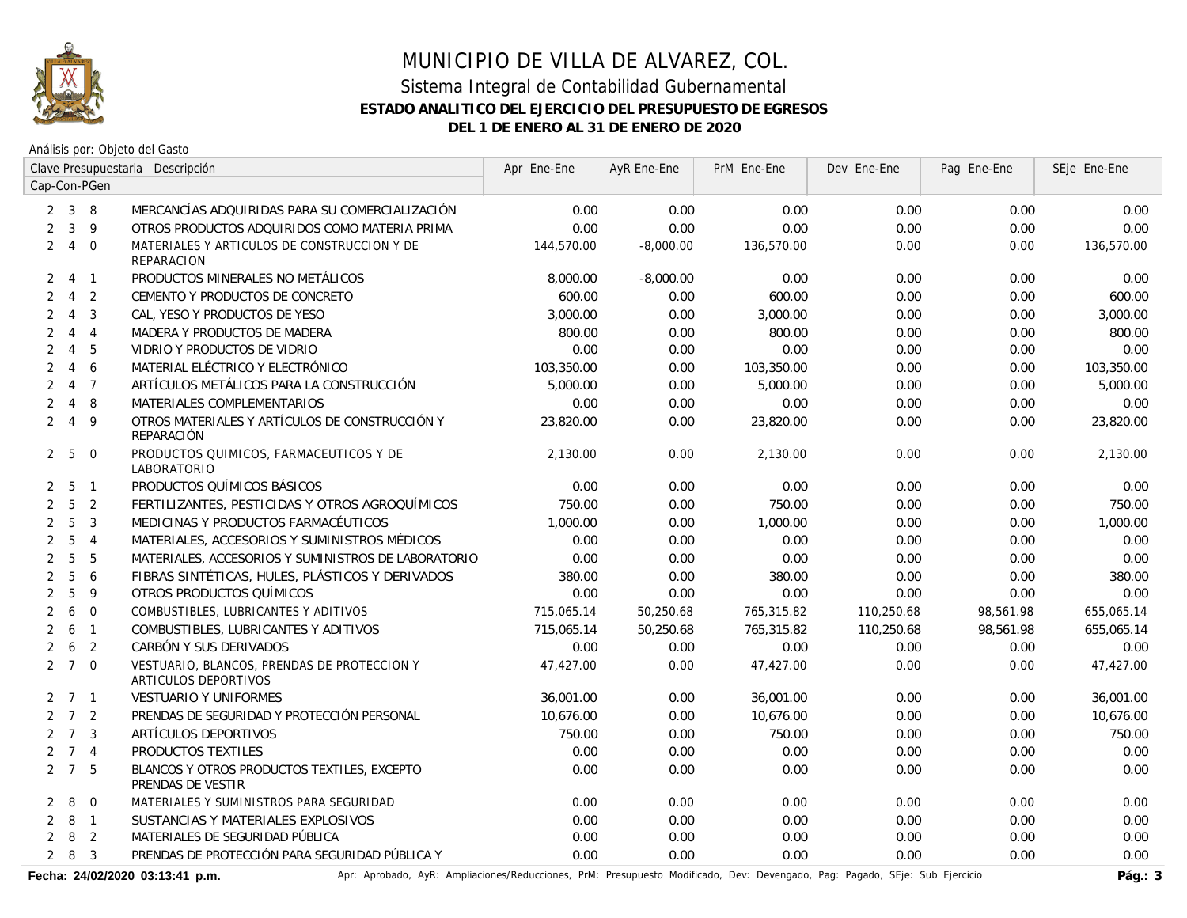

Análisis por: Objeto del Gasto

|                |                     |                | Clave Presupuestaria Descripción                                    | Apr Ene-Ene | AyR Ene-Ene | PrM Ene-Ene | Dev Ene-Ene | Pag Ene-Ene | SEje Ene-Ene |
|----------------|---------------------|----------------|---------------------------------------------------------------------|-------------|-------------|-------------|-------------|-------------|--------------|
|                |                     | Cap-Con-PGen   |                                                                     |             |             |             |             |             |              |
|                | $2 \quad 3 \quad 8$ |                | MERCANCÍAS ADQUIRIDAS PARA SU COMERCIALIZACIÓN                      | 0.00        | 0.00        | 0.00        | 0.00        | 0.00        | 0.00         |
| $\overline{2}$ | $\mathbf{3}$        | 9              | OTROS PRODUCTOS ADQUIRIDOS COMO MATERIA PRIMA                       | 0.00        | 0.00        | 0.00        | 0.00        | 0.00        | 0.00         |
| $\overline{2}$ | $\overline{4}$      | $\overline{0}$ | MATERIALES Y ARTICULOS DE CONSTRUCCION Y DE<br><b>REPARACION</b>    | 144,570.00  | $-8,000.00$ | 136,570.00  | 0.00        | 0.00        | 136,570.00   |
| $\overline{2}$ | $\overline{4}$      | $\overline{1}$ | PRODUCTOS MINERALES NO METÁLICOS                                    | 8,000.00    | $-8,000.00$ | 0.00        | 0.00        | 0.00        | 0.00         |
| 2              | $\overline{4}$      | 2              | CEMENTO Y PRODUCTOS DE CONCRETO                                     | 600.00      | 0.00        | 600.00      | 0.00        | 0.00        | 600.00       |
| $\overline{2}$ | $\overline{4}$      | 3              | CAL, YESO Y PRODUCTOS DE YESO                                       | 3,000.00    | 0.00        | 3,000.00    | 0.00        | 0.00        | 3,000.00     |
| 2              | $\overline{4}$      | $\overline{4}$ | MADERA Y PRODUCTOS DE MADERA                                        | 800.00      | 0.00        | 800.00      | 0.00        | 0.00        | 800.00       |
| $\overline{2}$ | $\overline{4}$      | 5              | VIDRIO Y PRODUCTOS DE VIDRIO                                        | 0.00        | 0.00        | 0.00        | 0.00        | 0.00        | 0.00         |
| $\overline{2}$ | $\overline{4}$      | 6              | MATERIAL ELÉCTRICO Y ELECTRÓNICO                                    | 103,350.00  | 0.00        | 103,350.00  | 0.00        | 0.00        | 103,350.00   |
| $\overline{2}$ | $\overline{4}$      | $\overline{7}$ | ARTÍCULOS METÁLICOS PARA LA CONSTRUCCIÓN                            | 5,000.00    | 0.00        | 5,000.00    | 0.00        | 0.00        | 5,000.00     |
| $\overline{2}$ | $\overline{4}$      | 8              | MATERIALES COMPLEMENTARIOS                                          | 0.00        | 0.00        | 0.00        | 0.00        | 0.00        | 0.00         |
| $\overline{2}$ | $\overline{4}$      | 9              | OTROS MATERIALES Y ARTÍCULOS DE CONSTRUCCIÓN Y<br><b>REPARACIÓN</b> | 23,820.00   | 0.00        | 23,820.00   | 0.00        | 0.00        | 23,820.00    |
| $\mathbf{2}$   | 5                   | $\overline{0}$ | PRODUCTOS QUIMICOS, FARMACEUTICOS Y DE<br>LABORATORIO               | 2,130.00    | 0.00        | 2,130.00    | 0.00        | 0.00        | 2,130.00     |
| 2              | 5                   | $\overline{1}$ | PRODUCTOS QUÍMICOS BÁSICOS                                          | 0.00        | 0.00        | 0.00        | 0.00        | 0.00        | 0.00         |
| $\overline{2}$ | 5                   | $\overline{2}$ | FERTILIZANTES, PESTICIDAS Y OTROS AGROQUÍMICOS                      | 750.00      | 0.00        | 750.00      | 0.00        | 0.00        | 750.00       |
| $\overline{2}$ | 5                   | $\overline{3}$ | MEDICINAS Y PRODUCTOS FARMACÉUTICOS                                 | 1,000.00    | 0.00        | 1,000.00    | 0.00        | 0.00        | 1,000.00     |
| $\overline{2}$ | 5                   | $\overline{4}$ | MATERIALES, ACCESORIOS Y SUMINISTROS MÉDICOS                        | 0.00        | 0.00        | 0.00        | 0.00        | 0.00        | 0.00         |
| $\overline{2}$ | 5                   | 5              | MATERIALES, ACCESORIOS Y SUMINISTROS DE LABORATORIO                 | 0.00        | 0.00        | 0.00        | 0.00        | 0.00        | 0.00         |
| $\overline{2}$ | 5                   | 6              | FIBRAS SINTÉTICAS, HULES, PLÁSTICOS Y DERIVADOS                     | 380.00      | 0.00        | 380.00      | 0.00        | 0.00        | 380.00       |
| $\overline{2}$ | 5                   | 9              | OTROS PRODUCTOS QUÍMICOS                                            | 0.00        | 0.00        | 0.00        | 0.00        | 0.00        | 0.00         |
| $\overline{2}$ | 6                   | $\mathbf 0$    | COMBUSTIBLES, LUBRICANTES Y ADITIVOS                                | 715,065.14  | 50,250.68   | 765,315.82  | 110,250.68  | 98,561.98   | 655,065.14   |
| $\overline{2}$ | 6                   | $\overline{1}$ | COMBUSTIBLES, LUBRICANTES Y ADITIVOS                                | 715,065.14  | 50,250.68   | 765,315.82  | 110,250.68  | 98,561.98   | 655,065.14   |
| $\overline{2}$ | 6                   | $\overline{2}$ | CARBÓN Y SUS DERIVADOS                                              | 0.00        | 0.00        | 0.00        | 0.00        | 0.00        | 0.00         |
|                | $2 \quad 7 \quad 0$ |                | VESTUARIO, BLANCOS, PRENDAS DE PROTECCION Y<br>ARTICULOS DEPORTIVOS | 47,427.00   | 0.00        | 47,427.00   | 0.00        | 0.00        | 47,427.00    |
|                | $2 \quad 7 \quad 1$ |                | <b>VESTUARIO Y UNIFORMES</b>                                        | 36,001.00   | 0.00        | 36,001.00   | 0.00        | 0.00        | 36,001.00    |
| $\overline{2}$ | 7 <sub>2</sub>      |                | PRENDAS DE SEGURIDAD Y PROTECCIÓN PERSONAL                          | 10.676.00   | 0.00        | 10,676.00   | 0.00        | 0.00        | 10,676.00    |
|                | $2 \overline{7}$    | $\overline{3}$ | ARTÍCULOS DEPORTIVOS                                                | 750.00      | 0.00        | 750.00      | 0.00        | 0.00        | 750.00       |
|                | $2 \quad 7 \quad 4$ |                | PRODUCTOS TEXTILES                                                  | 0.00        | 0.00        | 0.00        | 0.00        | 0.00        | 0.00         |
|                | $2 \quad 7 \quad 5$ |                | BLANCOS Y OTROS PRODUCTOS TEXTILES, EXCEPTO<br>PRENDAS DE VESTIR    | 0.00        | 0.00        | 0.00        | 0.00        | 0.00        | 0.00         |
| 2              | 8                   | $\overline{0}$ | MATERIALES Y SUMINISTROS PARA SEGURIDAD                             | 0.00        | 0.00        | 0.00        | 0.00        | 0.00        | 0.00         |
| $\overline{2}$ | 8                   | $\overline{1}$ | SUSTANCIAS Y MATERIALES EXPLOSIVOS                                  | 0.00        | 0.00        | 0.00        | 0.00        | 0.00        | 0.00         |
| $\overline{2}$ | 8                   | 2              | MATERIALES DE SEGURIDAD PÚBLICA                                     | 0.00        | 0.00        | 0.00        | 0.00        | 0.00        | 0.00         |
|                | $2 \quad 8$         | $\overline{3}$ | PRENDAS DE PROTECCIÓN PARA SEGURIDAD PÚBLICA Y                      | 0.00        | 0.00        | 0.00        | 0.00        | 0.00        | 0.00         |

Fecha: 24/02/2020 03:13:41 p.m. <br>Pág.: 3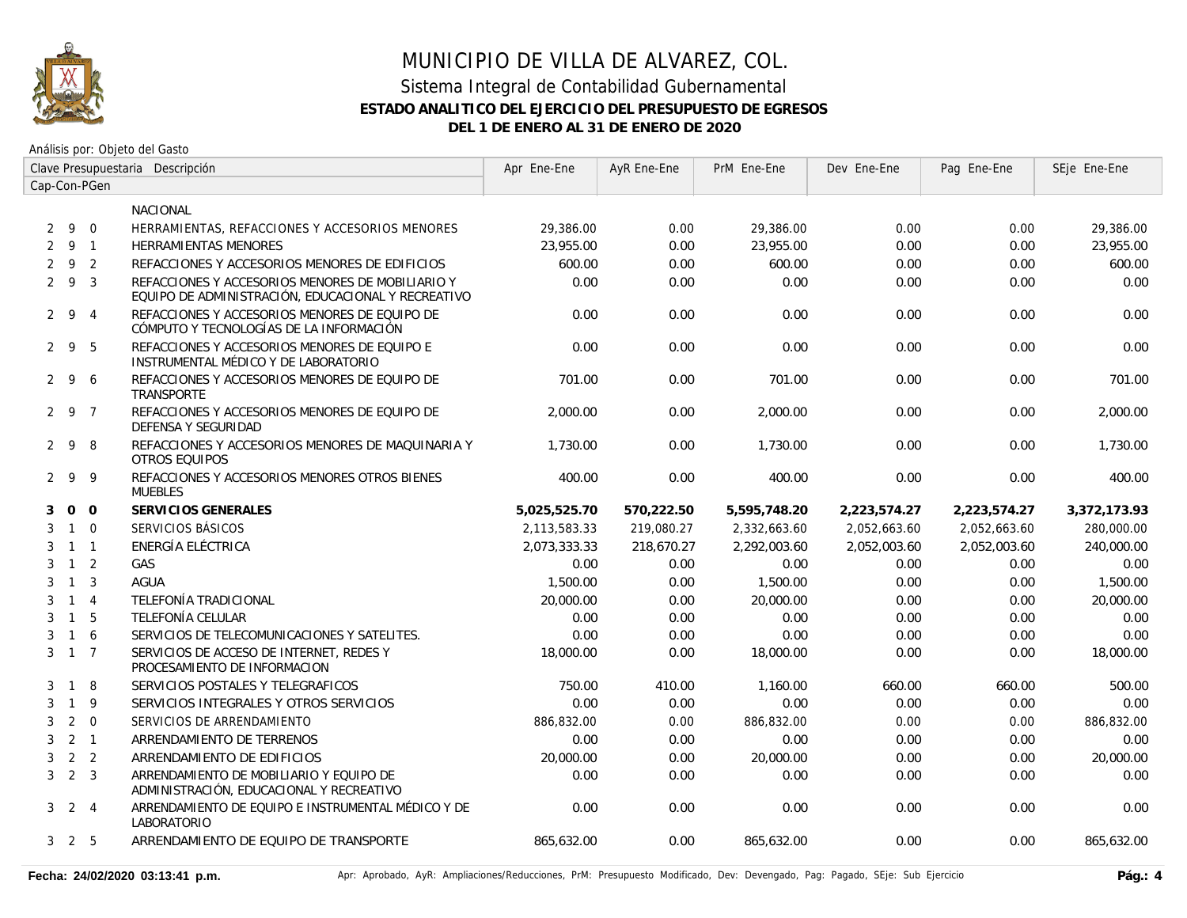

|                |                     |                | Clave Presupuestaria Descripción                                                                       | Apr Ene-Ene  | AyR Ene-Ene | PrM Ene-Ene  | Dev Ene-Ene  | Pag Ene-Ene  | SEje Ene-Ene |
|----------------|---------------------|----------------|--------------------------------------------------------------------------------------------------------|--------------|-------------|--------------|--------------|--------------|--------------|
|                |                     | Cap-Con-PGen   |                                                                                                        |              |             |              |              |              |              |
|                |                     |                | NACIONAL                                                                                               |              |             |              |              |              |              |
|                | $2\overline{9}$     | $\Omega$       | HERRAMIENTAS, REFACCIONES Y ACCESORIOS MENORES                                                         | 29,386.00    | 0.00        | 29,386.00    | 0.00         | 0.00         | 29,386.00    |
|                | $2 \quad 9 \quad 1$ |                | <b>HERRAMIENTAS MENORES</b>                                                                            | 23,955.00    | 0.00        | 23,955.00    | 0.00         | 0.00         | 23,955.00    |
| 2              | -9                  | $\overline{2}$ | REFACCIONES Y ACCESORIOS MENORES DE EDIFICIOS                                                          | 600.00       | 0.00        | 600.00       | 0.00         | 0.00         | 600.00       |
|                | 293                 |                | REFACCIONES Y ACCESORIOS MENORES DE MOBILIARIO Y<br>EQUIPO DE ADMINISTRACIÓN, EDUCACIONAL Y RECREATIVO | 0.00         | 0.00        | 0.00         | 0.00         | 0.00         | 0.00         |
|                | $2 \t9 \t4$         |                | REFACCIONES Y ACCESORIOS MENORES DE EQUIPO DE<br>CÓMPUTO Y TECNOLOGÍAS DE LA INFORMACIÓN               | 0.00         | 0.00        | 0.00         | 0.00         | 0.00         | 0.00         |
|                | 295                 |                | REFACCIONES Y ACCESORIOS MENORES DE EQUIPO E<br>INSTRUMENTAL MÉDICO Y DE LABORATORIO                   | 0.00         | 0.00        | 0.00         | 0.00         | 0.00         | 0.00         |
| 2              | 9                   | 6              | REFACCIONES Y ACCESORIOS MENORES DE EQUIPO DE<br><b>TRANSPORTE</b>                                     | 701.00       | 0.00        | 701.00       | 0.00         | 0.00         | 701.00       |
|                | 2 9 7               |                | REFACCIONES Y ACCESORIOS MENORES DE EQUIPO DE<br><b>DEFENSA Y SEGURIDAD</b>                            | 2,000.00     | 0.00        | 2.000.00     | 0.00         | 0.00         | 2,000.00     |
|                | $2 \quad 9$         | 8              | REFACCIONES Y ACCESORIOS MENORES DE MAQUINARIA Y<br><b>OTROS EQUIPOS</b>                               | 1,730.00     | 0.00        | 1,730.00     | 0.00         | 0.00         | 1,730.00     |
|                | 299                 |                | REFACCIONES Y ACCESORIOS MENORES OTROS BIENES<br><b>MUEBLES</b>                                        | 400.00       | 0.00        | 400.00       | 0.00         | 0.00         | 400.00       |
| 3              | 0 <sub>0</sub>      |                | SERVICIOS GENERALES                                                                                    | 5,025,525.70 | 570,222.50  | 5,595,748.20 | 2,223,574.27 | 2,223,574.27 | 3,372,173.93 |
| 3              |                     | $1 \quad 0$    | SERVICIOS BÁSICOS                                                                                      | 2,113,583.33 | 219,080.27  | 2,332,663.60 | 2,052,663.60 | 2,052,663.60 | 280,000.00   |
| 3              |                     | $1 \quad 1$    | ENERGÍA ELÉCTRICA                                                                                      | 2,073,333.33 | 218,670.27  | 2,292,003.60 | 2,052,003.60 | 2,052,003.60 | 240,000.00   |
| 3              | $1\quad 2$          |                | GAS                                                                                                    | 0.00         | 0.00        | 0.00         | 0.00         | 0.00         | 0.00         |
| 3              | $\overline{1}$      | $\overline{3}$ | <b>AGUA</b>                                                                                            | 1,500.00     | 0.00        | 1,500.00     | 0.00         | 0.00         | 1,500.00     |
| 3              | $1 \quad 4$         |                | TELEFONÍA TRADICIONAL                                                                                  | 20,000.00    | 0.00        | 20,000.00    | 0.00         | 0.00         | 20,000.00    |
| 3              | $1\quad5$           |                | TELEFONÍA CELULAR                                                                                      | 0.00         | 0.00        | 0.00         | 0.00         | 0.00         | 0.00         |
| 3              | $\mathbf{1}$        | 6              | SERVICIOS DE TELECOMUNICACIONES Y SATELITES.                                                           | 0.00         | 0.00        | 0.00         | 0.00         | 0.00         | 0.00         |
| 3              | $1 \quad 7$         |                | SERVICIOS DE ACCESO DE INTERNET. REDES Y<br>PROCESAMIENTO DE INFORMACION                               | 18,000.00    | 0.00        | 18,000.00    | 0.00         | 0.00         | 18,000.00    |
| 3              | $\overline{1}$      | 8              | SERVICIOS POSTALES Y TELEGRAFICOS                                                                      | 750.00       | 410.00      | 1.160.00     | 660.00       | 660.00       | 500.00       |
| 3              | $\mathbf{1}$        | 9              | SERVICIOS INTEGRALES Y OTROS SERVICIOS                                                                 | 0.00         | 0.00        | 0.00         | 0.00         | 0.00         | 0.00         |
| 3              | 2                   | $\Omega$       | SERVICIOS DE ARRENDAMIENTO                                                                             | 886,832.00   | 0.00        | 886,832.00   | 0.00         | 0.00         | 886,832.00   |
| 3              | 2 <sub>1</sub>      |                | ARRENDAMIENTO DE TERRENOS                                                                              | 0.00         | 0.00        | 0.00         | 0.00         | 0.00         | 0.00         |
| 3              |                     | 2 <sub>2</sub> | ARRENDAMIENTO DE EDIFICIOS                                                                             | 20,000.00    | 0.00        | 20,000.00    | 0.00         | 0.00         | 20,000.00    |
| 3 <sup>1</sup> | $2 \quad 3$         |                | ARRENDAMIENTO DE MOBILIARIO Y EQUIPO DE<br>ADMINISTRACIÓN, EDUCACIONAL Y RECREATIVO                    | 0.00         | 0.00        | 0.00         | 0.00         | 0.00         | 0.00         |
| 3 <sup>1</sup> | 2 4                 |                | ARRENDAMIENTO DE EQUIPO E INSTRUMENTAL MÉDICO Y DE<br>LABORATORIO                                      | 0.00         | 0.00        | 0.00         | 0.00         | 0.00         | 0.00         |
|                | $3\quad 2\quad 5$   |                | ARRENDAMIENTO DE EQUIPO DE TRANSPORTE                                                                  | 865,632.00   | 0.00        | 865,632.00   | 0.00         | 0.00         | 865,632.00   |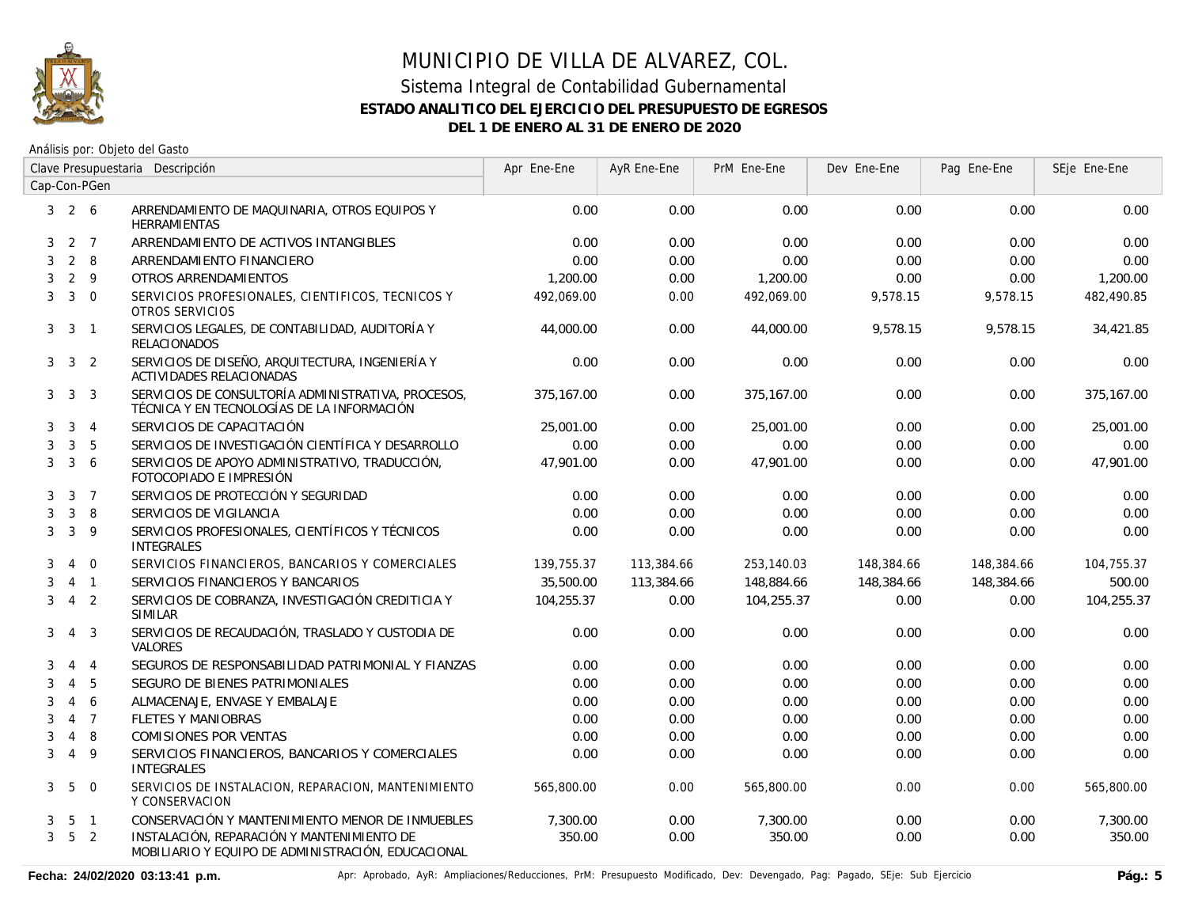

|              |                   |                | Clave Presupuestaria Descripción                                                                 | Apr Ene-Ene | AyR Ene-Ene | PrM Ene-Ene | Dev Ene-Ene | Pag Ene-Ene | SEje Ene-Ene |
|--------------|-------------------|----------------|--------------------------------------------------------------------------------------------------|-------------|-------------|-------------|-------------|-------------|--------------|
|              |                   | Cap-Con-PGen   |                                                                                                  |             |             |             |             |             |              |
|              | $3\quad 2\quad 6$ |                | ARRENDAMIENTO DE MAQUINARIA, OTROS EQUIPOS Y<br><b>HERRAMIENTAS</b>                              | 0.00        | 0.00        | 0.00        | 0.00        | 0.00        | 0.00         |
| 3            |                   | 2 7            | ARRENDAMIENTO DE ACTIVOS INTANGIBLES                                                             | 0.00        | 0.00        | 0.00        | 0.00        | 0.00        | 0.00         |
| 3            | $2 \quad 8$       |                | ARRENDAMIENTO FINANCIERO                                                                         | 0.00        | 0.00        | 0.00        | 0.00        | 0.00        | 0.00         |
| 3            | $2 \quad 9$       |                | OTROS ARRENDAMIENTOS                                                                             | 1,200.00    | 0.00        | 1,200.00    | 0.00        | 0.00        | 1,200.00     |
| 3            | $3 \quad 0$       |                | SERVICIOS PROFESIONALES, CIENTIFICOS, TECNICOS Y<br>OTROS SERVICIOS                              | 492,069.00  | 0.00        | 492,069.00  | 9,578.15    | 9,578.15    | 482,490.85   |
| 3            | 3                 | $\sqrt{1}$     | SERVICIOS LEGALES, DE CONTABILIDAD, AUDITORÍA Y<br><b>RELACIONADOS</b>                           | 44,000.00   | 0.00        | 44,000.00   | 9,578.15    | 9,578.15    | 34,421.85    |
| 3            | $\mathbf{3}$      | 2              | SERVICIOS DE DISEÑO, ARQUITECTURA, INGENIERÍA Y<br><b>ACTIVIDADES RELACIONADAS</b>               | 0.00        | 0.00        | 0.00        | 0.00        | 0.00        | 0.00         |
| 3            | $\mathbf{3}$      | 3              | SERVICIOS DE CONSULTORÍA ADMINISTRATIVA, PROCESOS,<br>TÉCNICA Y EN TECNOLOGÍAS DE LA INFORMACIÓN | 375,167.00  | 0.00        | 375,167.00  | 0.00        | 0.00        | 375,167.00   |
| 3            | 3                 | $\overline{4}$ | SERVICIOS DE CAPACITACIÓN                                                                        | 25,001.00   | 0.00        | 25,001.00   | 0.00        | 0.00        | 25,001.00    |
| 3            | 3                 | 5              | SERVICIOS DE INVESTIGACIÓN CIENTÍFICA Y DESARROLLO                                               | 0.00        | 0.00        | 0.00        | 0.00        | 0.00        | 0.00         |
| 3            | $\mathbf{3}$      | 6              | SERVICIOS DE APOYO ADMINISTRATIVO, TRADUCCIÓN,<br>FOTOCOPIADO E IMPRESIÓN                        | 47,901.00   | 0.00        | 47,901.00   | 0.00        | 0.00        | 47,901.00    |
| 3            | 3                 | $\overline{7}$ | SERVICIOS DE PROTECCIÓN Y SEGURIDAD                                                              | 0.00        | 0.00        | 0.00        | 0.00        | 0.00        | 0.00         |
| 3            | $\overline{3}$    | 8              | SERVICIOS DE VIGILANCIA                                                                          | 0.00        | 0.00        | 0.00        | 0.00        | 0.00        | 0.00         |
| 3            | $\mathbf{3}$      | 9              | SERVICIOS PROFESIONALES, CIENTÍFICOS Y TÉCNICOS<br><b>INTEGRALES</b>                             | 0.00        | 0.00        | 0.00        | 0.00        | 0.00        | 0.00         |
| 3            | $\overline{4}$    | $\overline{0}$ | SERVICIOS FINANCIEROS, BANCARIOS Y COMERCIALES                                                   | 139,755.37  | 113,384.66  | 253,140.03  | 148,384.66  | 148,384.66  | 104,755.37   |
| 3            | $\overline{4}$    | $\overline{1}$ | SERVICIOS FINANCIEROS Y BANCARIOS                                                                | 35,500.00   | 113,384.66  | 148,884.66  | 148,384.66  | 148,384.66  | 500.00       |
| 3            | $\overline{4}$    | 2              | SERVICIOS DE COBRANZA, INVESTIGACIÓN CREDITICIA Y<br><b>SIMILAR</b>                              | 104,255.37  | 0.00        | 104,255.37  | 0.00        | 0.00        | 104,255.37   |
| 3            | $\overline{4}$    | 3              | SERVICIOS DE RECAUDACIÓN, TRASLADO Y CUSTODIA DE<br><b>VALORES</b>                               | 0.00        | 0.00        | 0.00        | 0.00        | 0.00        | 0.00         |
| 3            | 4                 | $\overline{4}$ | SEGUROS DE RESPONSABILIDAD PATRIMONIAL Y FIANZAS                                                 | 0.00        | 0.00        | 0.00        | 0.00        | 0.00        | 0.00         |
| 3            | $\overline{4}$    | 5              | SEGURO DE BIENES PATRIMONIALES                                                                   | 0.00        | 0.00        | 0.00        | 0.00        | 0.00        | 0.00         |
| 3            | $\overline{4}$    | 6              | ALMACENAJE, ENVASE Y EMBALAJE                                                                    | 0.00        | 0.00        | 0.00        | 0.00        | 0.00        | 0.00         |
| 3            | $\overline{4}$    | $\overline{7}$ | <b>FLETES Y MANIOBRAS</b>                                                                        | 0.00        | 0.00        | 0.00        | 0.00        | 0.00        | 0.00         |
| 3            | $\overline{4}$    | 8              | <b>COMISIONES POR VENTAS</b>                                                                     | 0.00        | 0.00        | 0.00        | 0.00        | 0.00        | 0.00         |
| 3            | $\overline{4}$    | 9              | SERVICIOS FINANCIEROS, BANCARIOS Y COMERCIALES<br><b>INTEGRALES</b>                              | 0.00        | 0.00        | 0.00        | 0.00        | 0.00        | 0.00         |
| 3            | 5                 | $\mathbf 0$    | SERVICIOS DE INSTALACION, REPARACION, MANTENIMIENTO<br>Y CONSERVACION                            | 565,800.00  | 0.00        | 565,800.00  | 0.00        | 0.00        | 565,800.00   |
| 3            | 5                 | $\overline{1}$ | CONSERVACIÓN Y MANTENIMIENTO MENOR DE INMUEBLES                                                  | 7,300.00    | 0.00        | 7,300.00    | 0.00        | 0.00        | 7,300.00     |
| $\mathbf{3}$ | 5 <sub>2</sub>    |                | INSTALACIÓN, REPARACIÓN Y MANTENIMIENTO DE<br>MOBILIARIO Y EQUIPO DE ADMINISTRACIÓN, EDUCACIONAL | 350.00      | 0.00        | 350.00      | 0.00        | 0.00        | 350.00       |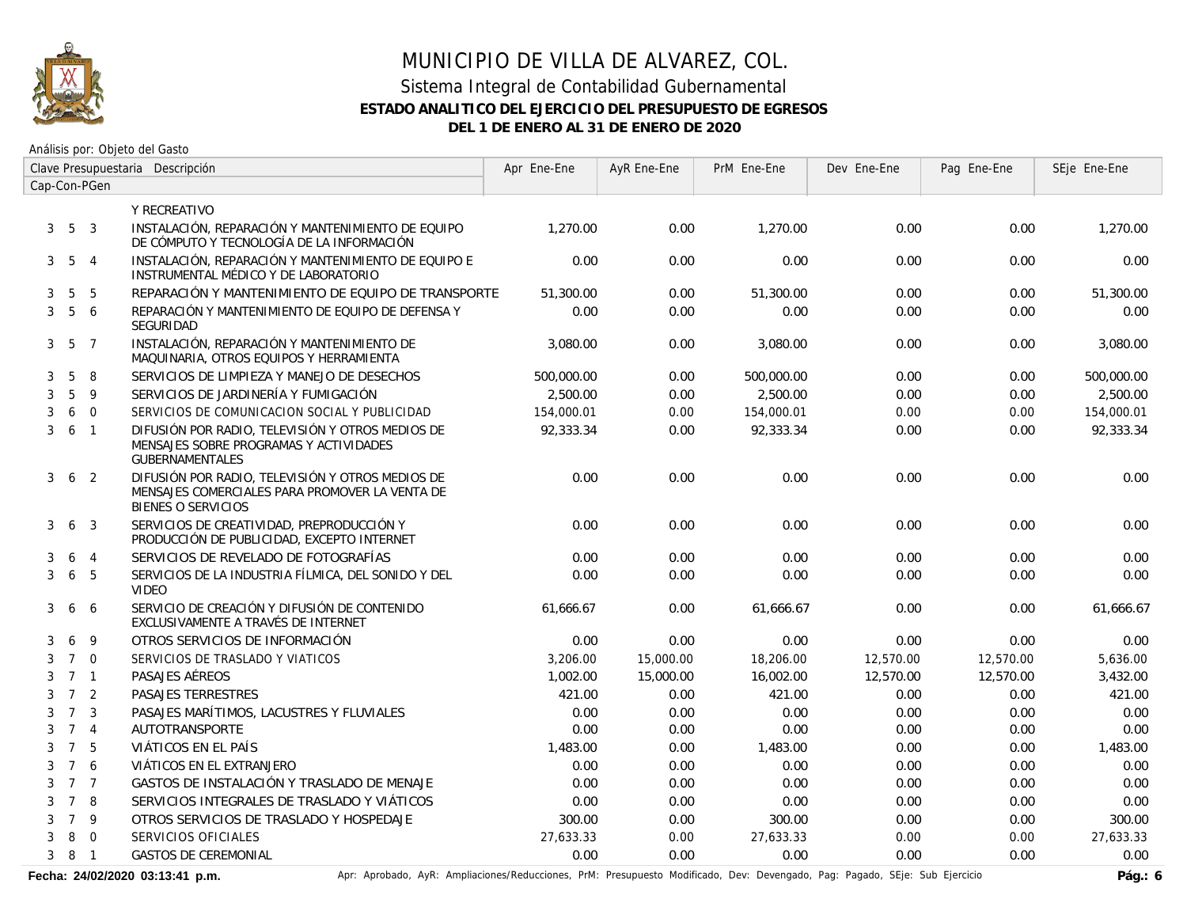

# MUNICIPIO DE VILLA DE ALVAREZ, COL. Sistema Integral de Contabilidad Gubernamental

#### **ESTADO ANALITICO DEL EJERCICIO DEL PRESUPUESTO DE EGRESOS**

**DEL 1 DE ENERO AL 31 DE ENERO DE 2020**

Análisis por: Objeto del Gasto

|   | Clave Presupuestaria Descripción |                         |                                                                                                                                 | Apr Ene-Ene | AyR Ene-Ene | PrM Ene-Ene | Dev Ene-Ene | Pag Ene-Ene | SEje Ene-Ene |
|---|----------------------------------|-------------------------|---------------------------------------------------------------------------------------------------------------------------------|-------------|-------------|-------------|-------------|-------------|--------------|
|   |                                  | Cap-Con-PGen            |                                                                                                                                 |             |             |             |             |             |              |
|   |                                  |                         | Y RECREATIVO                                                                                                                    |             |             |             |             |             |              |
| 3 | 5 3                              |                         | INSTALACIÓN, REPARACIÓN Y MANTENIMIENTO DE EQUIPO<br>DE CÓMPUTO Y TECNOLOGÍA DE LA INFORMACIÓN                                  | 1,270.00    | 0.00        | 1,270.00    | 0.00        | 0.00        | 1,270.00     |
|   | $3\quad 5\quad 4$                |                         | INSTALACIÓN, REPARACIÓN Y MANTENIMIENTO DE EQUIPO E<br>INSTRUMENTAL MÉDICO Y DE LABORATORIO                                     | 0.00        | 0.00        | 0.00        | 0.00        | 0.00        | 0.00         |
| 3 | 5                                | 5                       | REPARACIÓN Y MANTENIMIENTO DE EQUIPO DE TRANSPORTE                                                                              | 51,300.00   | 0.00        | 51,300.00   | 0.00        | 0.00        | 51,300.00    |
| 3 | $5\overline{)}$                  | 6                       | REPARACIÓN Y MANTENIMIENTO DE EQUIPO DE DEFENSA Y<br>SEGURIDAD                                                                  | 0.00        | 0.00        | 0.00        | 0.00        | 0.00        | 0.00         |
|   | $3\quad 5\quad 7$                |                         | INSTALACIÓN, REPARACIÓN Y MANTENIMIENTO DE<br>MAQUINARIA, OTROS EQUIPOS Y HERRAMIENTA                                           | 3,080.00    | 0.00        | 3,080.00    | 0.00        | 0.00        | 3,080.00     |
| 3 | 5                                | 8                       | SERVICIOS DE LIMPIEZA Y MANEJO DE DESECHOS                                                                                      | 500,000.00  | 0.00        | 500,000.00  | 0.00        | 0.00        | 500,000.00   |
| 3 | 5                                | 9                       | SERVICIOS DE JARDINERÍA Y FUMIGACIÓN                                                                                            | 2,500.00    | 0.00        | 2,500.00    | 0.00        | 0.00        | 2,500.00     |
| 3 | 6                                | $\mathbf 0$             | SERVICIOS DE COMUNICACION SOCIAL Y PUBLICIDAD                                                                                   | 154,000.01  | 0.00        | 154,000.01  | 0.00        | 0.00        | 154,000.01   |
| 3 | 6                                | $\overline{1}$          | DIFUSIÓN POR RADIO, TELEVISIÓN Y OTROS MEDIOS DE<br>MENSAJES SOBRE PROGRAMAS Y ACTIVIDADES<br><b>GUBERNAMENTALES</b>            | 92.333.34   | 0.00        | 92,333.34   | 0.00        | 0.00        | 92,333.34    |
| 3 |                                  | 6 <sub>2</sub>          | DIFUSIÓN POR RADIO, TELEVISIÓN Y OTROS MEDIOS DE<br>MENSAJES COMERCIALES PARA PROMOVER LA VENTA DE<br><b>BIENES O SERVICIOS</b> | 0.00        | 0.00        | 0.00        | 0.00        | 0.00        | 0.00         |
| 3 | 6                                | $\mathbf{3}$            | SERVICIOS DE CREATIVIDAD, PREPRODUCCIÓN Y<br>PRODUCCIÓN DE PUBLICIDAD, EXCEPTO INTERNET                                         | 0.00        | 0.00        | 0.00        | 0.00        | 0.00        | 0.00         |
| 3 | 6                                | $\overline{4}$          | SERVICIOS DE REVELADO DE FOTOGRAFÍAS                                                                                            | 0.00        | 0.00        | 0.00        | 0.00        | 0.00        | 0.00         |
| 3 | 6                                | 5                       | SERVICIOS DE LA INDUSTRIA FÍLMICA, DEL SONIDO Y DEL<br><b>VIDEO</b>                                                             | 0.00        | 0.00        | 0.00        | 0.00        | 0.00        | 0.00         |
| 3 | 6                                | 6                       | SERVICIO DE CREACIÓN Y DIFUSIÓN DE CONTENIDO<br>EXCLUSIVAMENTE A TRAVÉS DE INTERNET                                             | 61,666.67   | 0.00        | 61,666.67   | 0.00        | 0.00        | 61,666.67    |
| 3 | 6                                | 9                       | OTROS SERVICIOS DE INFORMACIÓN                                                                                                  | 0.00        | 0.00        | 0.00        | 0.00        | 0.00        | 0.00         |
| 3 |                                  | $7\quad0$               | SERVICIOS DE TRASLADO Y VIATICOS                                                                                                | 3,206.00    | 15,000.00   | 18,206.00   | 12,570.00   | 12,570.00   | 5,636.00     |
| 3 | 7 <sub>1</sub>                   |                         | PASAJES AÉREOS                                                                                                                  | 1,002.00    | 15,000.00   | 16,002.00   | 12,570.00   | 12,570.00   | 3,432.00     |
| 3 | 7 <sup>2</sup>                   |                         | PASAJES TERRESTRES                                                                                                              | 421.00      | 0.00        | 421.00      | 0.00        | 0.00        | 421.00       |
| 3 | $7\overline{ }$                  | $\overline{\mathbf{3}}$ | PASAJES MARÍTIMOS, LACUSTRES Y FLUVIALES                                                                                        | 0.00        | 0.00        | 0.00        | 0.00        | 0.00        | 0.00         |
| 3 |                                  | 7 <sub>4</sub>          | AUTOTRANSPORTE                                                                                                                  | 0.00        | 0.00        | 0.00        | 0.00        | 0.00        | 0.00         |
| 3 |                                  | 7 5                     | VIÁTICOS EN EL PAÍS                                                                                                             | 1,483.00    | 0.00        | 1,483.00    | 0.00        | 0.00        | 1,483.00     |
| 3 |                                  | 7 6                     | VIÁTICOS EN EL EXTRANJERO                                                                                                       | 0.00        | 0.00        | 0.00        | 0.00        | 0.00        | 0.00         |
| 3 |                                  | 7 7                     | GASTOS DE INSTALACIÓN Y TRASLADO DE MENAJE                                                                                      | 0.00        | 0.00        | 0.00        | 0.00        | 0.00        | 0.00         |
| 3 | $7^{\circ}$                      | 8                       | SERVICIOS INTEGRALES DE TRASLADO Y VIÁTICOS                                                                                     | 0.00        | 0.00        | 0.00        | 0.00        | 0.00        | 0.00         |
| 3 | $\overline{7}$                   | 9                       | OTROS SERVICIOS DE TRASLADO Y HOSPEDAJE                                                                                         | 300.00      | 0.00        | 300.00      | 0.00        | 0.00        | 300.00       |
| 3 | 8                                | $\overline{0}$          | SERVICIOS OFICIALES                                                                                                             | 27,633.33   | 0.00        | 27,633.33   | 0.00        | 0.00        | 27,633.33    |
| 3 |                                  | 8 1                     | <b>GASTOS DE CEREMONIAL</b>                                                                                                     | 0.00        | 0.00        | 0.00        | 0.00        | 0.00        | 0.00         |

Fecha: 24/02/2020 03:13:41 p.m. **Anche Apripagado, AyR: Ampliaciones/Reducciones, PrM: Presupuesto Modificado, Dev: Devengado, Pag: Pagado, SEje: Sub Ejercicio Pág.: 6**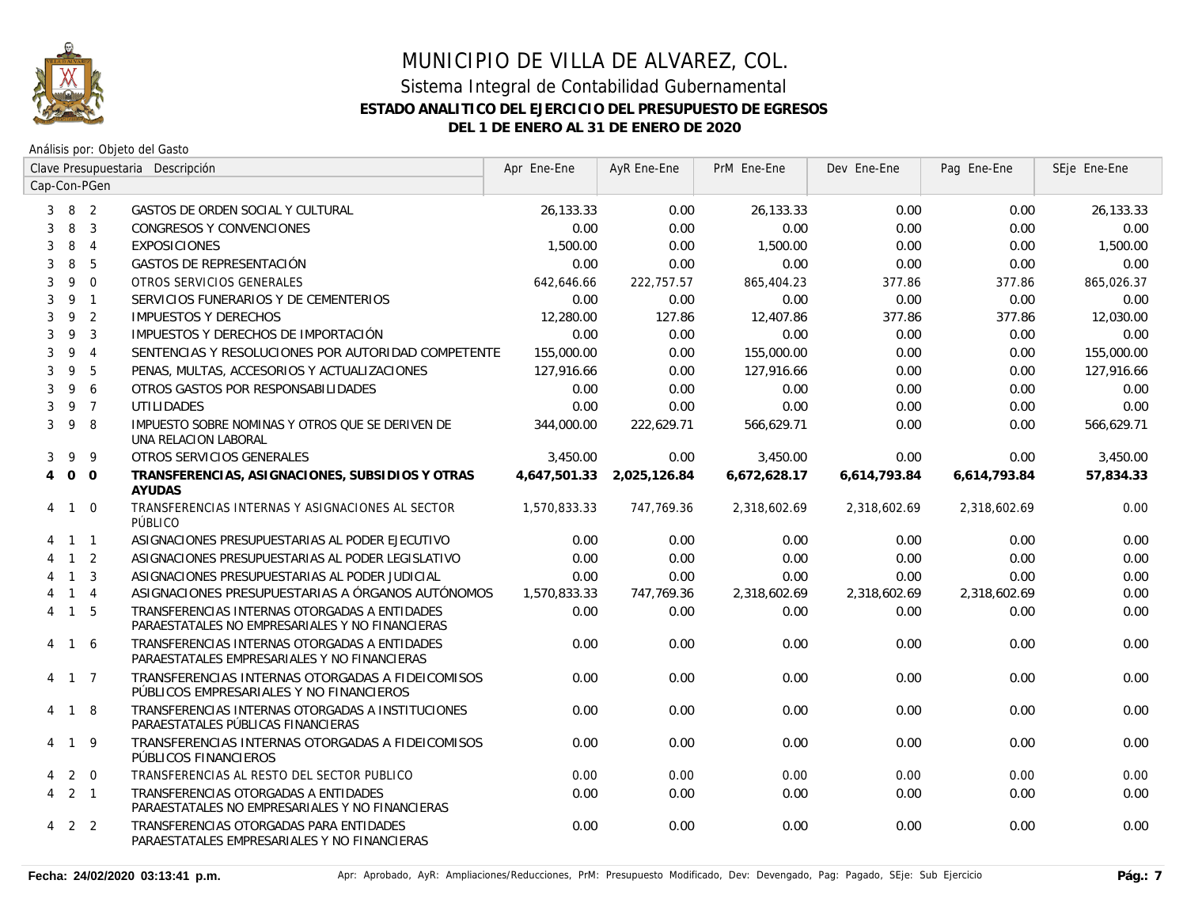

|                |                     |                | Clave Presupuestaria Descripción                                                                 | Apr Ene-Ene  | AyR Ene-Ene  | PrM Ene-Ene  | Dev Ene-Ene  | Pag Ene-Ene  | SEje Ene-Ene |
|----------------|---------------------|----------------|--------------------------------------------------------------------------------------------------|--------------|--------------|--------------|--------------|--------------|--------------|
|                |                     | Cap-Con-PGen   |                                                                                                  |              |              |              |              |              |              |
|                | $3 \quad 8 \quad 2$ |                | GASTOS DE ORDEN SOCIAL Y CULTURAL                                                                | 26,133.33    | 0.00         | 26,133.33    | 0.00         | 0.00         | 26,133.33    |
| 3              | 8                   | $\overline{3}$ | CONGRESOS Y CONVENCIONES                                                                         | 0.00         | 0.00         | 0.00         | 0.00         | 0.00         | 0.00         |
| 3              | 8                   | $\overline{4}$ | <b>EXPOSICIONES</b>                                                                              | 1,500.00     | 0.00         | 1,500.00     | 0.00         | 0.00         | 1,500.00     |
| 3              | 8                   | 5              | <b>GASTOS DE REPRESENTACIÓN</b>                                                                  | 0.00         | 0.00         | 0.00         | 0.00         | 0.00         | 0.00         |
| 3              | 9                   | $\overline{0}$ | OTROS SERVICIOS GENERALES                                                                        | 642,646.66   | 222,757.57   | 865,404.23   | 377.86       | 377.86       | 865,026.37   |
| 3              | 9 1                 |                | SERVICIOS FUNERARIOS Y DE CEMENTERIOS                                                            | 0.00         | 0.00         | 0.00         | 0.00         | 0.00         | 0.00         |
| 3              | 9                   | $\overline{2}$ | <b>IMPUESTOS Y DERECHOS</b>                                                                      | 12,280.00    | 127.86       | 12,407.86    | 377.86       | 377.86       | 12,030.00    |
| 3              | 9                   | $\overline{3}$ | IMPUESTOS Y DERECHOS DE IMPORTACIÓN                                                              | 0.00         | 0.00         | 0.00         | 0.00         | 0.00         | 0.00         |
| 3              | 9                   | $\overline{4}$ | SENTENCIAS Y RESOLUCIONES POR AUTORIDAD COMPETENTE                                               | 155,000.00   | 0.00         | 155,000.00   | 0.00         | 0.00         | 155,000.00   |
| 3              | 9                   | 5              | PENAS, MULTAS, ACCESORIOS Y ACTUALIZACIONES                                                      | 127,916.66   | 0.00         | 127,916.66   | 0.00         | 0.00         | 127,916.66   |
| 3              | 9                   | 6              | OTROS GASTOS POR RESPONSABILIDADES                                                               | 0.00         | 0.00         | 0.00         | 0.00         | 0.00         | 0.00         |
| 3              |                     | 9 7            | <b>UTILIDADES</b>                                                                                | 0.00         | 0.00         | 0.00         | 0.00         | 0.00         | 0.00         |
| 3              | 9                   | 8              | IMPUESTO SOBRE NOMINAS Y OTROS QUE SE DERIVEN DE<br>UNA RELACION LABORAL                         | 344,000.00   | 222,629.71   | 566,629.71   | 0.00         | 0.00         | 566,629.71   |
| 3              | 9                   | 9              | OTROS SERVICIOS GENERALES                                                                        | 3,450.00     | 0.00         | 3,450.00     | 0.00         | 0.00         | 3,450.00     |
| $\overline{4}$ | $\overline{0}$      | $\overline{0}$ | TRANSFERENCIAS, ASIGNACIONES, SUBSIDIOS Y OTRAS<br><b>AYUDAS</b>                                 | 4.647.501.33 | 2.025.126.84 | 6,672,628.17 | 6,614,793.84 | 6.614.793.84 | 57,834.33    |
| 4              | $\overline{1}$      | $\overline{0}$ | TRANSFERENCIAS INTERNAS Y ASIGNACIONES AL SECTOR<br>PÚBLICO                                      | 1,570,833.33 | 747,769.36   | 2,318,602.69 | 2,318,602.69 | 2,318,602.69 | 0.00         |
|                | $1\quad1$           |                | ASIGNACIONES PRESUPUESTARIAS AL PODER EJECUTIVO                                                  | 0.00         | 0.00         | 0.00         | 0.00         | 0.00         | 0.00         |
|                | $\mathbf{1}$        | $\overline{2}$ | ASIGNACIONES PRESUPUESTARIAS AL PODER LEGISLATIVO                                                | 0.00         | 0.00         | 0.00         | 0.00         | 0.00         | 0.00         |
|                | $\overline{1}$      | $\overline{3}$ | ASIGNACIONES PRESUPUESTARIAS AL PODER JUDICIAL                                                   | 0.00         | 0.00         | 0.00         | 0.00         | 0.00         | 0.00         |
|                | $\mathbf{1}$        | $\overline{4}$ | ASIGNACIONES PRESUPUESTARIAS A ÓRGANOS AUTÓNOMOS                                                 | 1,570,833.33 | 747,769.36   | 2,318,602.69 | 2,318,602.69 | 2,318,602.69 | 0.00         |
|                | $4 \quad 1 \quad 5$ |                | TRANSFERENCIAS INTERNAS OTORGADAS A ENTIDADES<br>PARAESTATALES NO EMPRESARIALES Y NO FINANCIERAS | 0.00         | 0.00         | 0.00         | 0.00         | 0.00         | 0.00         |
|                | 4 1 6               |                | TRANSFERENCIAS INTERNAS OTORGADAS A ENTIDADES<br>PARAESTATALES EMPRESARIALES Y NO FINANCIERAS    | 0.00         | 0.00         | 0.00         | 0.00         | 0.00         | 0.00         |
|                | 4 1 7               |                | TRANSFERENCIAS INTERNAS OTORGADAS A FIDEICOMISOS<br>PÚBLICOS EMPRESARIALES Y NO FINANCIEROS      | 0.00         | 0.00         | 0.00         | 0.00         | 0.00         | 0.00         |
| 4              | $\overline{1}$      | 8              | TRANSFERENCIAS INTERNAS OTORGADAS A INSTITUCIONES<br>PARAESTATALES PÚBLICAS FINANCIERAS          | 0.00         | 0.00         | 0.00         | 0.00         | 0.00         | 0.00         |
|                | 4 1 9               |                | TRANSFERENCIAS INTERNAS OTORGADAS A FIDEICOMISOS<br>PÚBLICOS FINANCIEROS                         | 0.00         | 0.00         | 0.00         | 0.00         | 0.00         | 0.00         |
| 4              | 2                   | $\overline{0}$ | TRANSFERENCIAS AL RESTO DEL SECTOR PUBLICO                                                       | 0.00         | 0.00         | 0.00         | 0.00         | 0.00         | 0.00         |
|                | $4 \quad 2 \quad 1$ |                | TRANSFERENCIAS OTORGADAS A ENTIDADES<br>PARAESTATALES NO EMPRESARIALES Y NO FINANCIERAS          | 0.00         | 0.00         | 0.00         | 0.00         | 0.00         | 0.00         |
|                | 4 2 2               |                | TRANSFERENCIAS OTORGADAS PARA ENTIDADES<br>PARAESTATALES EMPRESARIALES Y NO FINANCIERAS          | 0.00         | 0.00         | 0.00         | 0.00         | 0.00         | 0.00         |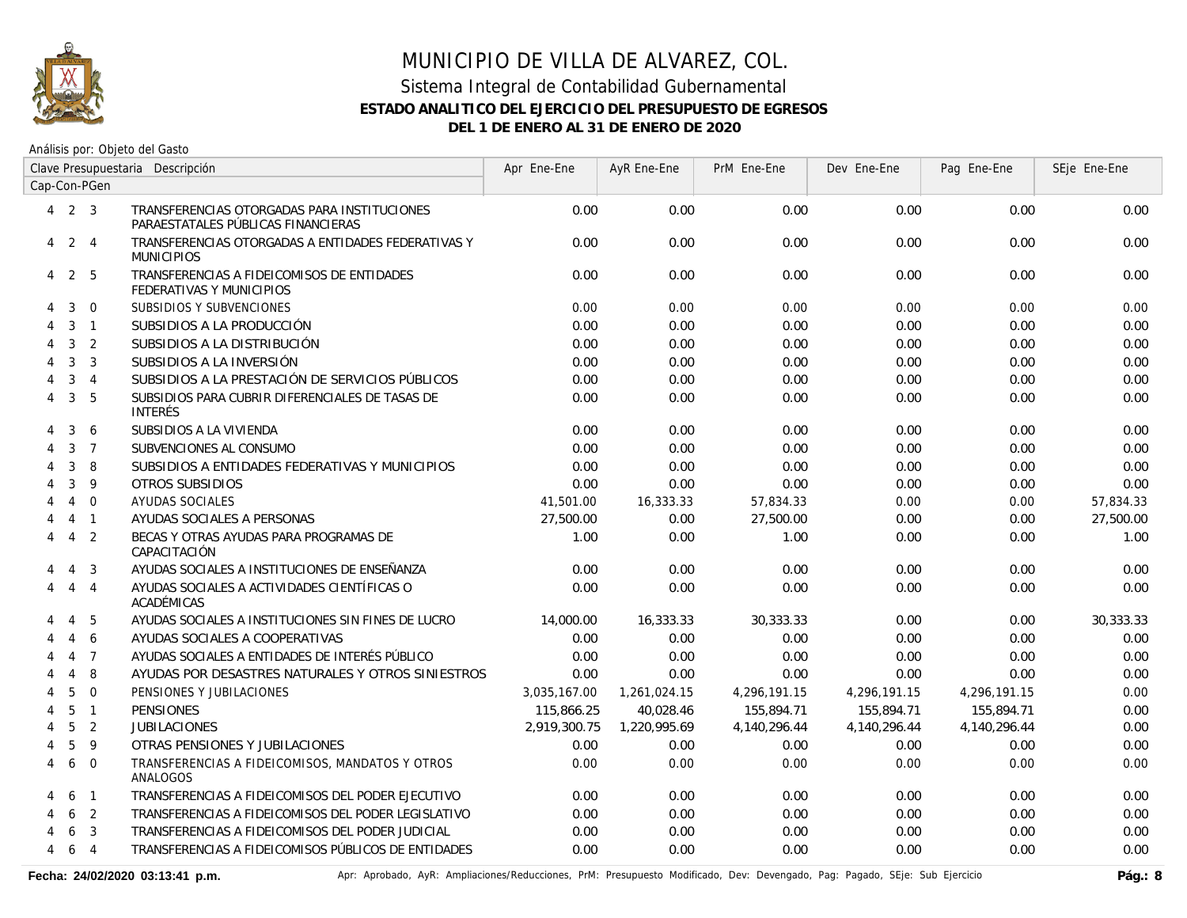

Análisis por: Objeto del Gasto

|   |                | Clave Presupuestaria Descripción |                                                                                   | Apr Ene-Ene  | AyR Ene-Ene  | PrM Ene-Ene  | Dev Ene-Ene  | Pag Ene-Ene  | SEje Ene-Ene |
|---|----------------|----------------------------------|-----------------------------------------------------------------------------------|--------------|--------------|--------------|--------------|--------------|--------------|
|   |                | Cap-Con-PGen                     |                                                                                   |              |              |              |              |              |              |
|   | $4$ 2 3        |                                  | TRANSFERENCIAS OTORGADAS PARA INSTITUCIONES<br>PARAESTATALES PÚBLICAS FINANCIERAS | 0.00         | 0.00         | 0.00         | 0.00         | 0.00         | 0.00         |
| 4 | $2 \quad 4$    |                                  | TRANSFERENCIAS OTORGADAS A ENTIDADES FEDERATIVAS Y<br><b>MUNICIPIOS</b>           | 0.00         | 0.00         | 0.00         | 0.00         | 0.00         | 0.00         |
| 4 | 2              | 5                                | TRANSFERENCIAS A FIDEICOMISOS DE ENTIDADES<br>FEDERATIVAS Y MUNICIPIOS            | 0.00         | 0.00         | 0.00         | 0.00         | 0.00         | 0.00         |
| 4 | 3              | $\mathbf 0$                      | SUBSIDIOS Y SUBVENCIONES                                                          | 0.00         | 0.00         | 0.00         | 0.00         | 0.00         | 0.00         |
| 4 | 3              | $\overline{1}$                   | SUBSIDIOS A LA PRODUCCIÓN                                                         | 0.00         | 0.00         | 0.00         | 0.00         | 0.00         | 0.00         |
|   | 3              | 2                                | SUBSIDIOS A LA DISTRIBUCIÓN                                                       | 0.00         | 0.00         | 0.00         | 0.00         | 0.00         | 0.00         |
|   | 3              | 3                                | SUBSIDIOS A LA INVERSIÓN                                                          | 0.00         | 0.00         | 0.00         | 0.00         | 0.00         | 0.00         |
| 4 | 3              | $\overline{4}$                   | SUBSIDIOS A LA PRESTACIÓN DE SERVICIOS PÚBLICOS                                   | 0.00         | 0.00         | 0.00         | 0.00         | 0.00         | 0.00         |
| 4 | $\mathbf{3}$   | 5                                | SUBSIDIOS PARA CUBRIR DIFERENCIALES DE TASAS DE<br><b>INTERÉS</b>                 | 0.00         | 0.00         | 0.00         | 0.00         | 0.00         | 0.00         |
|   | 3              | 6                                | SUBSIDIOS A LA VIVIENDA                                                           | 0.00         | 0.00         | 0.00         | 0.00         | 0.00         | 0.00         |
|   | 3              | $\overline{7}$                   | SUBVENCIONES AL CONSUMO                                                           | 0.00         | 0.00         | 0.00         | 0.00         | 0.00         | 0.00         |
|   | 3              | 8                                | SUBSIDIOS A ENTIDADES FEDERATIVAS Y MUNICIPIOS                                    | 0.00         | 0.00         | 0.00         | 0.00         | 0.00         | 0.00         |
|   | 3              | 9                                | <b>OTROS SUBSIDIOS</b>                                                            | 0.00         | 0.00         | 0.00         | 0.00         | 0.00         | 0.00         |
|   | $\overline{4}$ | $\overline{0}$                   | AYUDAS SOCIALES                                                                   | 41,501.00    | 16,333.33    | 57,834.33    | 0.00         | 0.00         | 57,834.33    |
|   | $\overline{4}$ | $\overline{1}$                   | AYUDAS SOCIALES A PERSONAS                                                        | 27,500.00    | 0.00         | 27,500.00    | 0.00         | 0.00         | 27,500.00    |
| 4 | 4 2            |                                  | BECAS Y OTRAS AYUDAS PARA PROGRAMAS DE<br>CAPACITACIÓN                            | 1.00         | 0.00         | 1.00         | 0.00         | 0.00         | 1.00         |
| 4 | $\overline{4}$ | 3                                | AYUDAS SOCIALES A INSTITUCIONES DE ENSEÑANZA                                      | 0.00         | 0.00         | 0.00         | 0.00         | 0.00         | 0.00         |
| 4 | $\overline{4}$ | $\overline{4}$                   | AYUDAS SOCIALES A ACTIVIDADES CIENTÍFICAS O<br>ACADÉMICAS                         | 0.00         | 0.00         | 0.00         | 0.00         | 0.00         | 0.00         |
|   | $\overline{4}$ | 5                                | AYUDAS SOCIALES A INSTITUCIONES SIN FINES DE LUCRO                                | 14,000.00    | 16,333.33    | 30,333.33    | 0.00         | 0.00         | 30,333.33    |
|   | $\overline{4}$ | 6                                | AYUDAS SOCIALES A COOPERATIVAS                                                    | 0.00         | 0.00         | 0.00         | 0.00         | 0.00         | 0.00         |
|   | $\overline{4}$ | $\overline{7}$                   | AYUDAS SOCIALES A ENTIDADES DE INTERÉS PÚBLICO                                    | 0.00         | 0.00         | 0.00         | 0.00         | 0.00         | 0.00         |
|   | $\overline{4}$ | 8                                | AYUDAS POR DESASTRES NATURALES Y OTROS SINIESTROS                                 | 0.00         | 0.00         | 0.00         | 0.00         | 0.00         | 0.00         |
| 4 | 5              | $\Omega$                         | PENSIONES Y JUBILACIONES                                                          | 3,035,167.00 | 1,261,024.15 | 4,296,191.15 | 4,296,191.15 | 4,296,191.15 | 0.00         |
|   | 5              | $\overline{1}$                   | <b>PENSIONES</b>                                                                  | 115,866.25   | 40,028.46    | 155,894.71   | 155,894.71   | 155,894.71   | 0.00         |
|   | 5              | $\overline{2}$                   | <b>JUBILACIONES</b>                                                               | 2,919,300.75 | 1,220,995.69 | 4,140,296.44 | 4,140,296.44 | 4,140,296.44 | 0.00         |
|   | 5              | 9                                | OTRAS PENSIONES Y JUBILACIONES                                                    | 0.00         | 0.00         | 0.00         | 0.00         | 0.00         | 0.00         |
| 4 | 6              | $\overline{0}$                   | TRANSFERENCIAS A FIDEICOMISOS, MANDATOS Y OTROS<br>ANALOGOS                       | 0.00         | 0.00         | 0.00         | 0.00         | 0.00         | 0.00         |
| 4 | 6              | $\overline{1}$                   | TRANSFERENCIAS A FIDEICOMISOS DEL PODER EJECUTIVO                                 | 0.00         | 0.00         | 0.00         | 0.00         | 0.00         | 0.00         |
|   | 6              | $\overline{2}$                   | TRANSFERENCIAS A FIDEICOMISOS DEL PODER LEGISLATIVO                               | 0.00         | 0.00         | 0.00         | 0.00         | 0.00         | 0.00         |
|   | 6              | 3                                | TRANSFERENCIAS A FIDEICOMISOS DEL PODER JUDICIAL                                  | 0.00         | 0.00         | 0.00         | 0.00         | 0.00         | 0.00         |
| 4 | 6              | $\overline{4}$                   | TRANSFERENCIAS A FIDEICOMISOS PÚBLICOS DE ENTIDADES                               | 0.00         | 0.00         | 0.00         | 0.00         | 0.00         | 0.00         |

Fecha: 24/02/2020 03:13:41 p.m. **Anche Apripagado, AyR: Ampliaciones/Reducciones, PrM: Presupuesto Modificado, Dev: Devengado, Pag: Pagado, SEje: Sub Ejercicio Pág.: 8**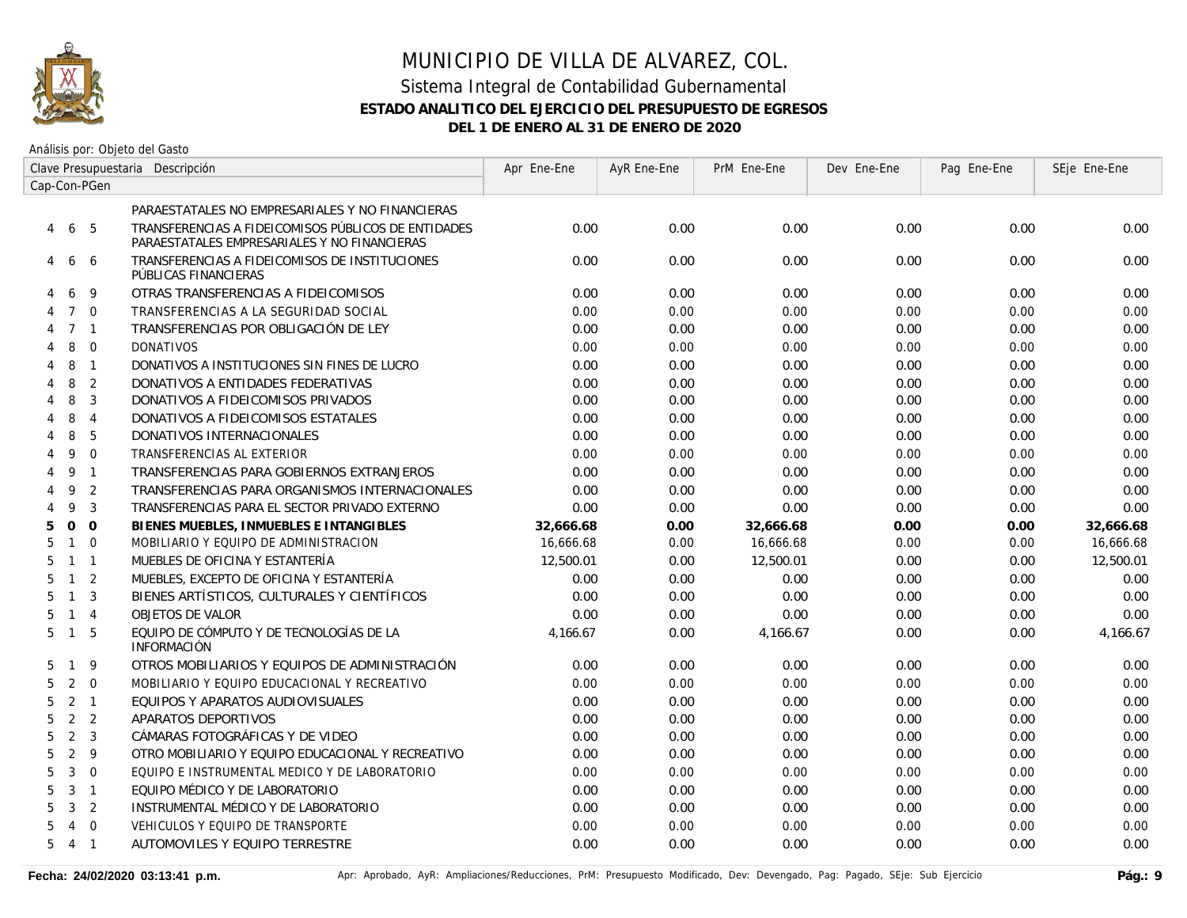

Análisis por: Objeto del Gasto

|                                       | Clave Presupuestaria Descripción                                                                    | Apr Ene-Ene | AyR Ene-Ene | PrM Ene-Ene | Dev Ene-Ene | Pag Ene-Ene | SEje Ene-Ene |
|---------------------------------------|-----------------------------------------------------------------------------------------------------|-------------|-------------|-------------|-------------|-------------|--------------|
| Cap-Con-PGen                          |                                                                                                     |             |             |             |             |             |              |
|                                       | PARAESTATALES NO EMPRESARIALES Y NO FINANCIERAS                                                     |             |             |             |             |             |              |
| 6 5<br>4                              | TRANSFERENCIAS A FIDEICOMISOS PÚBLICOS DE ENTIDADES<br>PARAESTATALES EMPRESARIALES Y NO FINANCIERAS | 0.00        | 0.00        | 0.00        | 0.00        | 0.00        | 0.00         |
| 4<br>6<br>6                           | TRANSFERENCIAS A FIDEICOMISOS DE INSTITUCIONES<br>PÚBLICAS FINANCIERAS                              | 0.00        | 0.00        | 0.00        | 0.00        | 0.00        | 0.00         |
| 9<br>6                                | OTRAS TRANSFERENCIAS A FIDEICOMISOS                                                                 | 0.00        | 0.00        | 0.00        | 0.00        | 0.00        | 0.00         |
| $\Omega$<br>$7\overline{ }$           | TRANSFERENCIAS A LA SEGURIDAD SOCIAL                                                                | 0.00        | 0.00        | 0.00        | 0.00        | 0.00        | 0.00         |
| 7 <sub>1</sub><br>4                   | TRANSFERENCIAS POR OBLIGACIÓN DE LEY                                                                | 0.00        | 0.00        | 0.00        | 0.00        | 0.00        | 0.00         |
| $\mathbf{0}$<br>8<br>4                | <b>DONATIVOS</b>                                                                                    | 0.00        | 0.00        | 0.00        | 0.00        | 0.00        | 0.00         |
| 8<br>$\overline{1}$<br>4              | DONATIVOS A INSTITUCIONES SIN FINES DE LUCRO                                                        | 0.00        | 0.00        | 0.00        | 0.00        | 0.00        | 0.00         |
| 8<br>2<br>4                           | DONATIVOS A ENTIDADES FEDERATIVAS                                                                   | 0.00        | 0.00        | 0.00        | 0.00        | 0.00        | 0.00         |
| 8<br>3<br>4                           | DONATIVOS A FIDEICOMISOS PRIVADOS                                                                   | 0.00        | 0.00        | 0.00        | 0.00        | 0.00        | 0.00         |
| 8<br>$\overline{4}$<br>4              | DONATIVOS A FIDEICOMISOS ESTATALES                                                                  | 0.00        | 0.00        | 0.00        | 0.00        | 0.00        | 0.00         |
| 8<br>5<br>4                           | DONATIVOS INTERNACIONALES                                                                           | 0.00        | 0.00        | 0.00        | 0.00        | 0.00        | 0.00         |
| $\mathbf{0}$<br>9                     | TRANSFERENCIAS AL EXTERIOR                                                                          | 0.00        | 0.00        | 0.00        | 0.00        | 0.00        | 0.00         |
| 9<br>$\overline{1}$<br>4              | TRANSFERENCIAS PARA GOBIERNOS EXTRANJEROS                                                           | 0.00        | 0.00        | 0.00        | 0.00        | 0.00        | 0.00         |
| 9<br>$\overline{2}$<br>4              | TRANSFERENCIAS PARA ORGANISMOS INTERNACIONALES                                                      | 0.00        | 0.00        | 0.00        | 0.00        | 0.00        | 0.00         |
| $\overline{3}$<br>9                   | TRANSFERENCIAS PARA EL SECTOR PRIVADO EXTERNO                                                       | 0.00        | 0.00        | 0.00        | 0.00        | 0.00        | 0.00         |
| $\Omega$<br>5<br>$\Omega$             | BIENES MUEBLES, INMUEBLES E INTANGIBLES                                                             | 32,666.68   | 0.00        | 32,666.68   | 0.00        | 0.00        | 32,666.68    |
| $1 \quad 0$<br>5                      | MOBILIARIO Y EQUIPO DE ADMINISTRACION                                                               | 16,666.68   | 0.00        | 16,666.68   | 0.00        | 0.00        | 16,666.68    |
| 5<br>$1 \quad 1$                      | MUEBLES DE OFICINA Y ESTANTERÍA                                                                     | 12,500.01   | 0.00        | 12,500.01   | 0.00        | 0.00        | 12,500.01    |
| $\overline{2}$<br>5<br>$\mathbf{1}$   | MUEBLES, EXCEPTO DE OFICINA Y ESTANTERÍA                                                            | 0.00        | 0.00        | 0.00        | 0.00        | 0.00        | 0.00         |
| $1 \quad 3$<br>5                      | BIENES ARTÍSTICOS, CULTURALES Y CIENTÍFICOS                                                         | 0.00        | 0.00        | 0.00        | 0.00        | 0.00        | 0.00         |
| $1 \quad 4$<br>5                      | OBJETOS DE VALOR                                                                                    | 0.00        | 0.00        | 0.00        | 0.00        | 0.00        | 0.00         |
| $1\quad5$<br>5                        | EQUIPO DE CÓMPUTO Y DE TECNOLOGÍAS DE LA<br><b>INFORMACIÓN</b>                                      | 4,166.67    | 0.00        | 4,166.67    | 0.00        | 0.00        | 4,166.67     |
| 9<br>5<br>$\mathbf{1}$                | OTROS MOBILIARIOS Y EQUIPOS DE ADMINISTRACIÓN                                                       | 0.00        | 0.00        | 0.00        | 0.00        | 0.00        | 0.00         |
| $\overline{2}$<br>$\overline{0}$<br>5 | MOBILIARIO Y EQUIPO EDUCACIONAL Y RECREATIVO                                                        | 0.00        | 0.00        | 0.00        | 0.00        | 0.00        | 0.00         |
| $2 \quad 1$<br>5                      | EQUIPOS Y APARATOS AUDIOVISUALES                                                                    | 0.00        | 0.00        | 0.00        | 0.00        | 0.00        | 0.00         |
| 2 <sub>2</sub><br>5                   | APARATOS DEPORTIVOS                                                                                 | 0.00        | 0.00        | 0.00        | 0.00        | 0.00        | 0.00         |
| 2 <sup>3</sup><br>5                   | CÁMARAS FOTOGRÁFICAS Y DE VIDEO                                                                     | 0.00        | 0.00        | 0.00        | 0.00        | 0.00        | 0.00         |
| $\overline{2}$<br>9<br>5              | OTRO MOBILIARIO Y EQUIPO EDUCACIONAL Y RECREATIVO                                                   | 0.00        | 0.00        | 0.00        | 0.00        | 0.00        | 0.00         |
| $\mathbf{3}$<br>5<br>$\overline{0}$   | EQUIPO E INSTRUMENTAL MEDICO Y DE LABORATORIO                                                       | 0.00        | 0.00        | 0.00        | 0.00        | 0.00        | 0.00         |
| 3<br>$\overline{1}$<br>5              | EQUIPO MÉDICO Y DE LABORATORIO                                                                      | 0.00        | 0.00        | 0.00        | 0.00        | 0.00        | 0.00         |
| 3<br>$\overline{2}$<br>5              | INSTRUMENTAL MÉDICO Y DE LABORATORIO                                                                | 0.00        | 0.00        | 0.00        | 0.00        | 0.00        | 0.00         |
| $\overline{0}$<br>5<br>$\overline{4}$ | VEHICULOS Y EQUIPO DE TRANSPORTE                                                                    | 0.00        | 0.00        | 0.00        | 0.00        | 0.00        | 0.00         |
| 541                                   | AUTOMOVILES Y EQUIPO TERRESTRE                                                                      | 0.00        | 0.00        | 0.00        | 0.00        | 0.00        | 0.00         |
|                                       |                                                                                                     |             |             |             |             |             |              |

Fecha: 24/02/2020 03:13:41 p.m. **Anche Apripagado, AyR: Ampliaciones/Reducciones**, PrM: Presupuesto Modificado, Dev: Devengado, Pag: Pagado, SEje: Sub Ejercicio Pág.: 9<br>Pág.: 9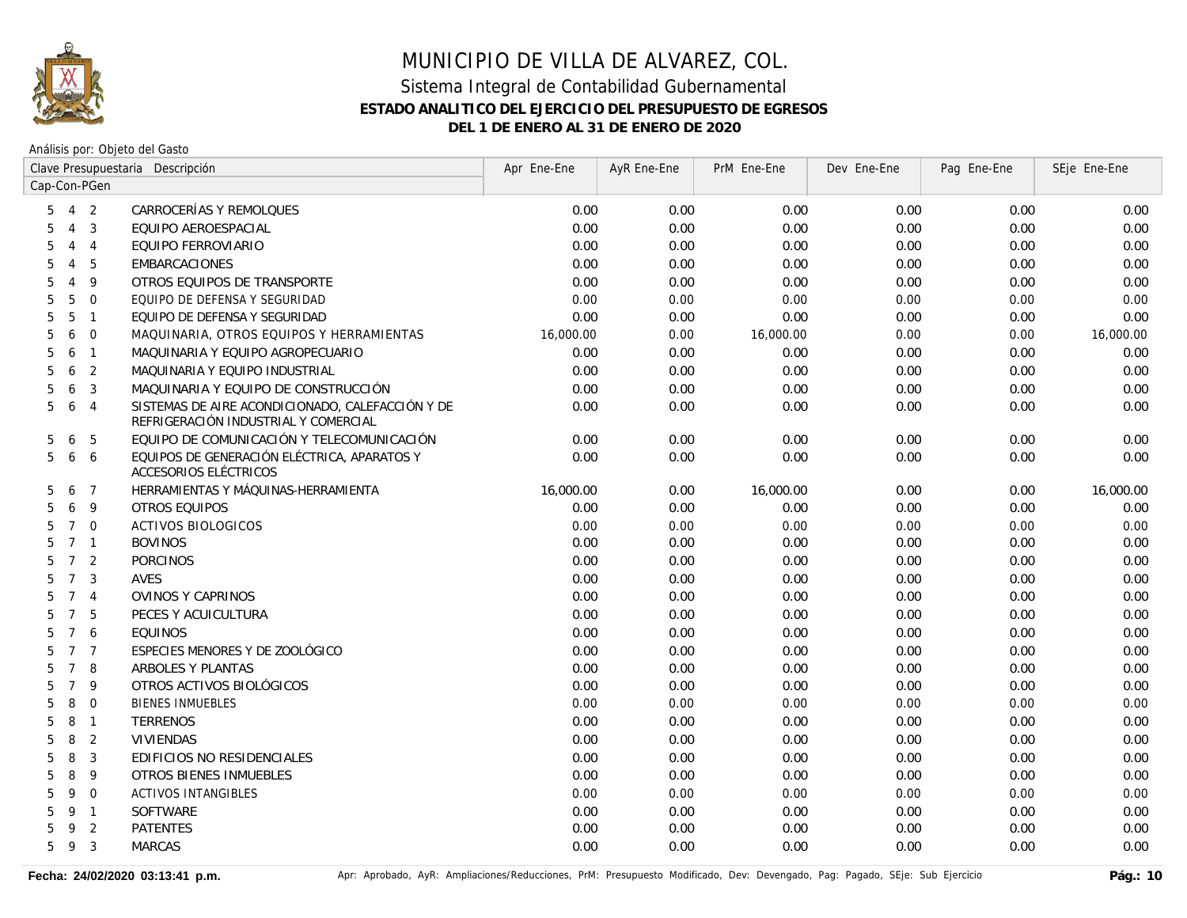

|                      | Clave Presupuestaria Descripción |                |                                                                                          | Apr Ene-Ene | AyR Ene-Ene | PrM Ene-Ene | Dev Ene-Ene | Pag Ene-Ene | SEje Ene-Ene |
|----------------------|----------------------------------|----------------|------------------------------------------------------------------------------------------|-------------|-------------|-------------|-------------|-------------|--------------|
| Cap-Con-PGen         |                                  |                |                                                                                          |             |             |             |             |             |              |
| 5                    |                                  | 4 2            | CARROCERÍAS Y REMOLQUES                                                                  | 0.00        | 0.00        | 0.00        | 0.00        | 0.00        | 0.00         |
| $\overline{4}$<br>5  |                                  | 3              | EQUIPO AEROESPACIAL                                                                      | 0.00        | 0.00        | 0.00        | 0.00        | 0.00        | 0.00         |
| $\overline{4}$<br>5  |                                  | $\overline{4}$ | EQUIPO FERROVIARIO                                                                       | 0.00        | 0.00        | 0.00        | 0.00        | 0.00        | 0.00         |
| $\overline{4}$<br>5  |                                  | 5              | EMBARCACIONES                                                                            | 0.00        | 0.00        | 0.00        | 0.00        | 0.00        | 0.00         |
| 5<br>$\overline{4}$  |                                  | 9              | OTROS EQUIPOS DE TRANSPORTE                                                              | 0.00        | 0.00        | 0.00        | 0.00        | 0.00        | 0.00         |
| 5<br>5               |                                  | $\mathbf 0$    | EQUIPO DE DEFENSA Y SEGURIDAD                                                            | 0.00        | 0.00        | 0.00        | 0.00        | 0.00        | 0.00         |
| 5<br>5               |                                  | $\overline{1}$ | EQUIPO DE DEFENSA Y SEGURIDAD                                                            | 0.00        | 0.00        | 0.00        | 0.00        | 0.00        | 0.00         |
| 5<br>6               |                                  | $\overline{0}$ | MAQUINARIA, OTROS EQUIPOS Y HERRAMIENTAS                                                 | 16,000.00   | 0.00        | 16,000.00   | 0.00        | 0.00        | 16,000.00    |
| 5<br>6               |                                  | $\overline{1}$ | MAQUINARIA Y EQUIPO AGROPECUARIO                                                         | 0.00        | 0.00        | 0.00        | 0.00        | 0.00        | 0.00         |
| 5<br>6               |                                  | 2              | MAQUINARIA Y EQUIPO INDUSTRIAL                                                           | 0.00        | 0.00        | 0.00        | 0.00        | 0.00        | 0.00         |
| 5<br>6               |                                  | 3              | MAQUINARIA Y EQUIPO DE CONSTRUCCIÓN                                                      | 0.00        | 0.00        | 0.00        | 0.00        | 0.00        | 0.00         |
| 5<br>6               |                                  | $\overline{4}$ | SISTEMAS DE AIRE ACONDICIONADO, CALEFACCIÓN Y DE<br>REFRIGERACIÓN INDUSTRIAL Y COMERCIAL | 0.00        | 0.00        | 0.00        | 0.00        | 0.00        | 0.00         |
| 5<br>6               |                                  | 5              | EQUIPO DE COMUNICACIÓN Y TELECOMUNICACIÓN                                                | 0.00        | 0.00        | 0.00        | 0.00        | 0.00        | 0.00         |
| 5                    |                                  | 6 6            | EQUIPOS DE GENERACIÓN ELÉCTRICA, APARATOS Y<br>ACCESORIOS ELÉCTRICOS                     | 0.00        | 0.00        | 0.00        | 0.00        | 0.00        | 0.00         |
| 5<br>6               |                                  | $\overline{7}$ | HERRAMIENTAS Y MÁQUINAS-HERRAMIENTA                                                      | 16,000.00   | 0.00        | 16,000.00   | 0.00        | 0.00        | 16,000.00    |
| 5<br>6               |                                  | 9              | OTROS EQUIPOS                                                                            | 0.00        | 0.00        | 0.00        | 0.00        | 0.00        | 0.00         |
| $7\overline{ }$<br>5 |                                  | $\overline{0}$ | <b>ACTIVOS BIOLOGICOS</b>                                                                | 0.00        | 0.00        | 0.00        | 0.00        | 0.00        | 0.00         |
| 5                    |                                  | 7 <sub>1</sub> | <b>BOVINOS</b>                                                                           | 0.00        | 0.00        | 0.00        | 0.00        | 0.00        | 0.00         |
| 5                    |                                  | 7 <sup>2</sup> | <b>PORCINOS</b>                                                                          | 0.00        | 0.00        | 0.00        | 0.00        | 0.00        | 0.00         |
| 5                    | $7^{\circ}$                      | $\overline{3}$ | <b>AVES</b>                                                                              | 0.00        | 0.00        | 0.00        | 0.00        | 0.00        | 0.00         |
| 5                    |                                  | 7 <sub>4</sub> | OVINOS Y CAPRINOS                                                                        | 0.00        | 0.00        | 0.00        | 0.00        | 0.00        | 0.00         |
| $7^{\circ}$<br>5     |                                  | 5              | PECES Y ACUICULTURA                                                                      | 0.00        | 0.00        | 0.00        | 0.00        | 0.00        | 0.00         |
| $7^{\circ}$<br>5     |                                  | 6              | <b>EQUINOS</b>                                                                           | 0.00        | 0.00        | 0.00        | 0.00        | 0.00        | 0.00         |
| 5                    |                                  | 7 <sub>7</sub> | ESPECIES MENORES Y DE ZOOLÓGICO                                                          | 0.00        | 0.00        | 0.00        | 0.00        | 0.00        | 0.00         |
| $7^{\circ}$<br>5     |                                  | 8              | ARBOLES Y PLANTAS                                                                        | 0.00        | 0.00        | 0.00        | 0.00        | 0.00        | 0.00         |
| $7^{\circ}$<br>5     |                                  | 9              | OTROS ACTIVOS BIOLÓGICOS                                                                 | 0.00        | 0.00        | 0.00        | 0.00        | 0.00        | 0.00         |
| 8<br>5               |                                  | $\mathbf 0$    | <b>BIENES INMUEBLES</b>                                                                  | 0.00        | 0.00        | 0.00        | 0.00        | 0.00        | 0.00         |
| 8<br>5               |                                  | $\overline{1}$ | <b>TERRENOS</b>                                                                          | 0.00        | 0.00        | 0.00        | 0.00        | 0.00        | 0.00         |
| 8<br>5               |                                  | 2              | VIVIENDAS                                                                                | 0.00        | 0.00        | 0.00        | 0.00        | 0.00        | 0.00         |
| 8<br>5               |                                  | 3              | EDIFICIOS NO RESIDENCIALES                                                               | 0.00        | 0.00        | 0.00        | 0.00        | 0.00        | 0.00         |
| 8<br>5               |                                  | 9              | <b>OTROS BIENES INMUEBLES</b>                                                            | 0.00        | 0.00        | 0.00        | 0.00        | 0.00        | 0.00         |
| 9<br>5               |                                  | $\overline{0}$ | <b>ACTIVOS INTANGIBLES</b>                                                               | 0.00        | 0.00        | 0.00        | 0.00        | 0.00        | 0.00         |
| 9<br>5               |                                  | $\overline{1}$ | SOFTWARE                                                                                 | 0.00        | 0.00        | 0.00        | 0.00        | 0.00        | 0.00         |
| 9<br>5               |                                  | $\overline{2}$ | <b>PATENTES</b>                                                                          | 0.00        | 0.00        | 0.00        | 0.00        | 0.00        | 0.00         |
| 5<br>9               |                                  | 3              | <b>MARCAS</b>                                                                            | 0.00        | 0.00        | 0.00        | 0.00        | 0.00        | 0.00         |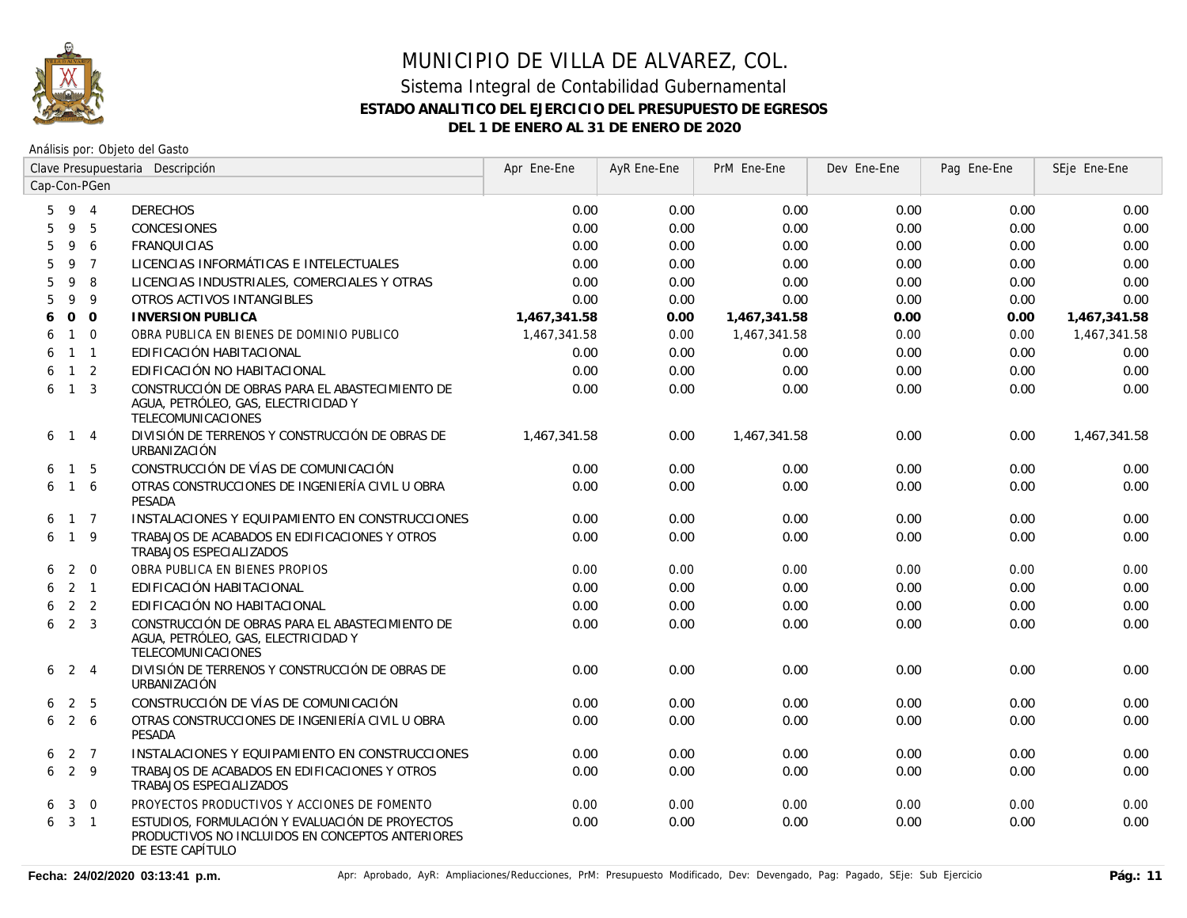

|   |                     |                | Clave Presupuestaria Descripción                                                                                        | Apr Ene-Ene  | AyR Ene-Ene | PrM Ene-Ene  | Dev Ene-Ene | Pag Ene-Ene | SEje Ene-Ene |
|---|---------------------|----------------|-------------------------------------------------------------------------------------------------------------------------|--------------|-------------|--------------|-------------|-------------|--------------|
|   |                     | Cap-Con-PGen   |                                                                                                                         |              |             |              |             |             |              |
|   | 5 9 4               |                | <b>DERECHOS</b>                                                                                                         | 0.00         | 0.00        | 0.00         | 0.00        | 0.00        | 0.00         |
| 5 | 9                   | -5             | <b>CONCESIONES</b>                                                                                                      | 0.00         | 0.00        | 0.00         | 0.00        | 0.00        | 0.00         |
| 5 | 9                   | 6              | <b>FRANQUICIAS</b>                                                                                                      | 0.00         | 0.00        | 0.00         | 0.00        | 0.00        | 0.00         |
| 5 | 9                   | $\overline{7}$ | LICENCIAS INFORMÁTICAS E INTELECTUALES                                                                                  | 0.00         | 0.00        | 0.00         | 0.00        | 0.00        | 0.00         |
| 5 | 9                   | 8              | LICENCIAS INDUSTRIALES, COMERCIALES Y OTRAS                                                                             | 0.00         | 0.00        | 0.00         | 0.00        | 0.00        | 0.00         |
| 5 | 9                   | 9              | OTROS ACTIVOS INTANGIBLES                                                                                               | 0.00         | 0.00        | 0.00         | 0.00        | 0.00        | 0.00         |
| 6 | $\overline{O}$      | $\overline{0}$ | <b>INVERSION PUBLICA</b>                                                                                                | 1,467,341.58 | 0.00        | 1,467,341.58 | 0.00        | 0.00        | 1,467,341.58 |
| 6 | $\mathbf{1}$        | $\overline{0}$ | OBRA PUBLICA EN BIENES DE DOMINIO PUBLICO                                                                               | 1,467,341.58 | 0.00        | 1,467,341.58 | 0.00        | 0.00        | 1,467,341.58 |
| 6 |                     | $1 \quad 1$    | EDIFICACIÓN HABITACIONAL                                                                                                | 0.00         | 0.00        | 0.00         | 0.00        | 0.00        | 0.00         |
| 6 | $\mathbf{1}$        | $\overline{2}$ | EDIFICACIÓN NO HABITACIONAL                                                                                             | 0.00         | 0.00        | 0.00         | 0.00        | 0.00        | 0.00         |
| 6 |                     | $1 \quad 3$    | CONSTRUCCIÓN DE OBRAS PARA EL ABASTECIMIENTO DE<br>AGUA, PETRÓLEO, GAS, ELECTRICIDAD Y<br>TELECOMUNICACIONES            | 0.00         | 0.00        | 0.00         | 0.00        | 0.00        | 0.00         |
| 6 |                     | $1 \quad 4$    | DIVISIÓN DE TERRENOS Y CONSTRUCCIÓN DE OBRAS DE<br>URBANIZACIÓN                                                         | 1,467,341.58 | 0.00        | 1.467.341.58 | 0.00        | 0.00        | 1,467,341.58 |
| 6 | $\mathbf{1}$        | -5             | CONSTRUCCIÓN DE VÍAS DE COMUNICACIÓN                                                                                    | 0.00         | 0.00        | 0.00         | 0.00        | 0.00        | 0.00         |
| 6 | $\overline{1}$      | 6              | OTRAS CONSTRUCCIONES DE INGENIERÍA CIVIL U OBRA<br><b>PESADA</b>                                                        | 0.00         | 0.00        | 0.00         | 0.00        | 0.00        | 0.00         |
| 6 |                     | $1 \quad 7$    | INSTALACIONES Y EQUIPAMIENTO EN CONSTRUCCIONES                                                                          | 0.00         | 0.00        | 0.00         | 0.00        | 0.00        | 0.00         |
| 6 |                     | $1 \quad 9$    | TRABAJOS DE ACABADOS EN EDIFICACIONES Y OTROS<br>TRABAJOS ESPECIALIZADOS                                                | 0.00         | 0.00        | 0.00         | 0.00        | 0.00        | 0.00         |
| 6 |                     | $2 \quad 0$    | OBRA PUBLICA EN BIENES PROPIOS                                                                                          | 0.00         | 0.00        | 0.00         | 0.00        | 0.00        | 0.00         |
|   | $6 \quad 2 \quad 1$ |                | EDIFICACIÓN HABITACIONAL                                                                                                | 0.00         | 0.00        | 0.00         | 0.00        | 0.00        | 0.00         |
| 6 |                     | 2 <sub>2</sub> | EDIFICACIÓN NO HABITACIONAL                                                                                             | 0.00         | 0.00        | 0.00         | 0.00        | 0.00        | 0.00         |
| 6 |                     | 2 <sup>3</sup> | CONSTRUCCIÓN DE OBRAS PARA EL ABASTECIMIENTO DE<br>AGUA, PETRÓLEO, GAS, ELECTRICIDAD Y<br>TELECOMUNICACIONES            | 0.00         | 0.00        | 0.00         | 0.00        | 0.00        | 0.00         |
|   | $6\quad 2\quad 4$   |                | DIVISIÓN DE TERRENOS Y CONSTRUCCIÓN DE OBRAS DE<br>URBANIZACIÓN                                                         | 0.00         | 0.00        | 0.00         | 0.00        | 0.00        | 0.00         |
| 6 |                     | 2 <sub>5</sub> | CONSTRUCCIÓN DE VÍAS DE COMUNICACIÓN                                                                                    | 0.00         | 0.00        | 0.00         | 0.00        | 0.00        | 0.00         |
| 6 |                     | 2 6            | OTRAS CONSTRUCCIONES DE INGENIERÍA CIVIL U OBRA<br><b>PESADA</b>                                                        | 0.00         | 0.00        | 0.00         | 0.00        | 0.00        | 0.00         |
| 6 |                     | 2 7            | INSTALACIONES Y EQUIPAMIENTO EN CONSTRUCCIONES                                                                          | 0.00         | 0.00        | 0.00         | 0.00        | 0.00        | 0.00         |
| 6 |                     | $2 \quad 9$    | TRABAJOS DE ACABADOS EN EDIFICACIONES Y OTROS<br>TRABAJOS ESPECIALIZADOS                                                | 0.00         | 0.00        | 0.00         | 0.00        | 0.00        | 0.00         |
| 6 | 3                   | $\overline{0}$ | PROYECTOS PRODUCTIVOS Y ACCIONES DE FOMENTO                                                                             | 0.00         | 0.00        | 0.00         | 0.00        | 0.00        | 0.00         |
|   | $6\quad 3\quad 1$   |                | ESTUDIOS, FORMULACIÓN Y EVALUACIÓN DE PROYECTOS<br>PRODUCTIVOS NO INCLUIDOS EN CONCEPTOS ANTERIORES<br>DE ESTE CAPÍTULO | 0.00         | 0.00        | 0.00         | 0.00        | 0.00        | 0.00         |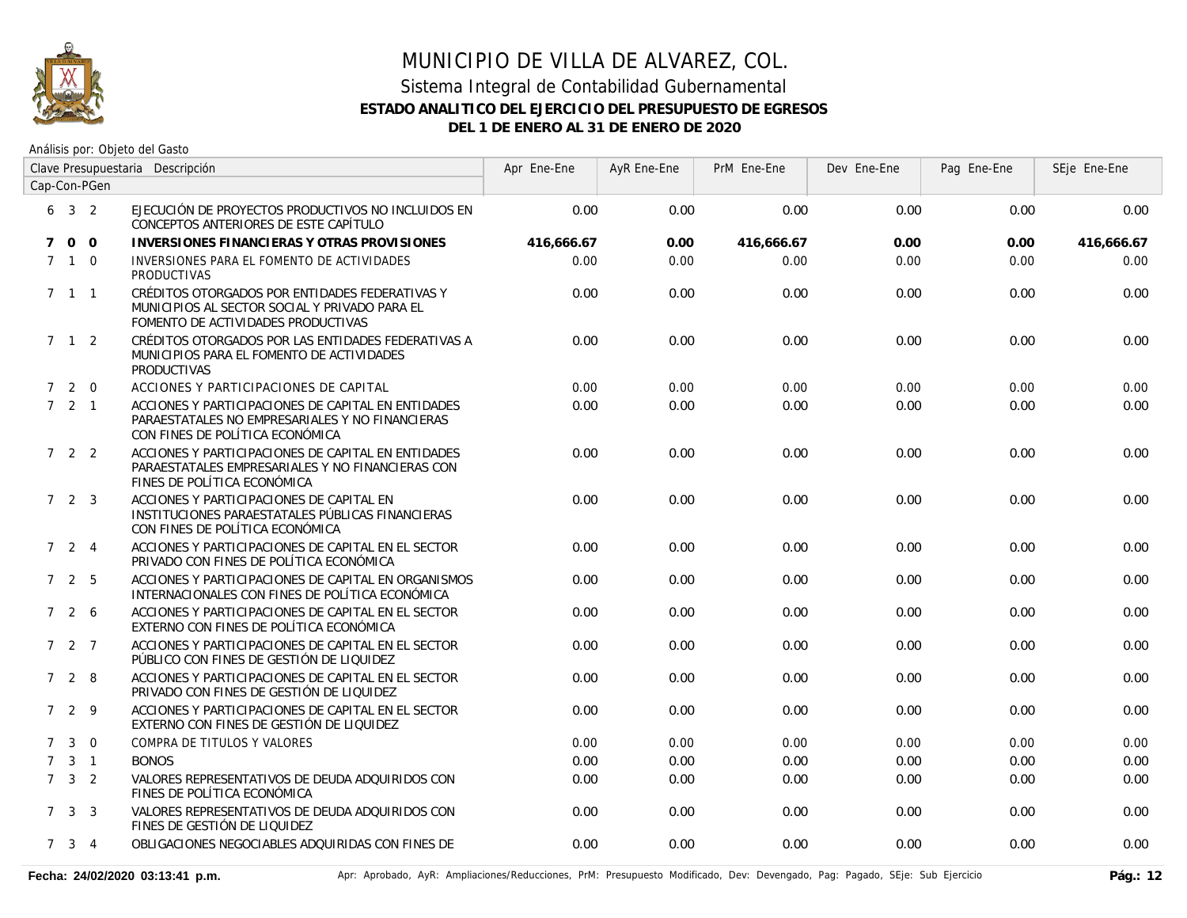

# MUNICIPIO DE VILLA DE ALVAREZ, COL. Sistema Integral de Contabilidad Gubernamental

#### **ESTADO ANALITICO DEL EJERCICIO DEL PRESUPUESTO DE EGRESOS**

**DEL 1 DE ENERO AL 31 DE ENERO DE 2020**

|             |                     | Clave Presupuestaria Descripción |                                                                                                                                          | Apr Ene-Ene | AyR Ene-Ene | PrM Ene-Ene | Dev Ene-Ene | Pag Ene-Ene | SEje Ene-Ene |
|-------------|---------------------|----------------------------------|------------------------------------------------------------------------------------------------------------------------------------------|-------------|-------------|-------------|-------------|-------------|--------------|
|             |                     | Cap-Con-PGen                     |                                                                                                                                          |             |             |             |             |             |              |
|             | $6 \t3 \t2$         |                                  | EJECUCIÓN DE PROYECTOS PRODUCTIVOS NO INCLUIDOS EN<br>CONCEPTOS ANTERIORES DE ESTE CAPÍTULO                                              | 0.00        | 0.00        | 0.00        | 0.00        | 0.00        | 0.00         |
| $7^{\circ}$ | $0\quad 0$          |                                  | <b>INVERSIONES FINANCIERAS Y OTRAS PROVISIONES</b>                                                                                       | 416.666.67  | 0.00        | 416.666.67  | 0.00        | 0.00        | 416,666.67   |
| $7^{\circ}$ |                     | $1\quad 0$                       | INVERSIONES PARA EL FOMENTO DE ACTIVIDADES<br><b>PRODUCTIVAS</b>                                                                         | 0.00        | 0.00        | 0.00        | 0.00        | 0.00        | 0.00         |
|             | $7 \quad 1 \quad 1$ |                                  | CRÉDITOS OTORGADOS POR ENTIDADES FEDERATIVAS Y<br>MUNICIPIOS AL SECTOR SOCIAL Y PRIVADO PARA EL<br>FOMENTO DE ACTIVIDADES PRODUCTIVAS    | 0.00        | 0.00        | 0.00        | 0.00        | 0.00        | 0.00         |
|             | 7 1 2               |                                  | CRÉDITOS OTORGADOS POR LAS ENTIDADES FEDERATIVAS A<br>MUNICIPIOS PARA EL FOMENTO DE ACTIVIDADES<br><b>PRODUCTIVAS</b>                    | 0.00        | 0.00        | 0.00        | 0.00        | 0.00        | 0.00         |
| $7^{\circ}$ |                     | $2 \quad 0$                      | ACCIONES Y PARTICIPACIONES DE CAPITAL                                                                                                    | 0.00        | 0.00        | 0.00        | 0.00        | 0.00        | 0.00         |
|             | 721                 |                                  | ACCIONES Y PARTICIPACIONES DE CAPITAL EN ENTIDADES<br>PARAESTATALES NO EMPRESARIALES Y NO FINANCIERAS<br>CON FINES DE POLÍTICA ECONÓMICA | 0.00        | 0.00        | 0.00        | 0.00        | 0.00        | 0.00         |
|             | $7\quad 2\quad 2$   |                                  | ACCIONES Y PARTICIPACIONES DE CAPITAL EN ENTIDADES<br>PARAESTATALES EMPRESARIALES Y NO FINANCIERAS CON<br>FINES DE POLÍTICA ECONÓMICA    | 0.00        | 0.00        | 0.00        | 0.00        | 0.00        | 0.00         |
|             | $7\quad 2\quad 3$   |                                  | ACCIONES Y PARTICIPACIONES DE CAPITAL EN<br>INSTITUCIONES PARAESTATALES PÚBLICAS FINANCIERAS<br>CON FINES DE POLÍTICA ECONÓMICA          | 0.00        | 0.00        | 0.00        | 0.00        | 0.00        | 0.00         |
|             | $7\quad 2\quad 4$   |                                  | ACCIONES Y PARTICIPACIONES DE CAPITAL EN EL SECTOR<br>PRIVADO CON FINES DE POLÍTICA ECONÓMICA                                            | 0.00        | 0.00        | 0.00        | 0.00        | 0.00        | 0.00         |
|             | 7 2 5               |                                  | ACCIONES Y PARTICIPACIONES DE CAPITAL EN ORGANISMOS<br>INTERNACIONALES CON FINES DE POLÍTICA ECONÓMICA                                   | 0.00        | 0.00        | 0.00        | 0.00        | 0.00        | 0.00         |
|             | 7 2 6               |                                  | ACCIONES Y PARTICIPACIONES DE CAPITAL EN EL SECTOR<br>EXTERNO CON FINES DE POLÍTICA ECONÓMICA                                            | 0.00        | 0.00        | 0.00        | 0.00        | 0.00        | 0.00         |
|             | $727$               |                                  | ACCIONES Y PARTICIPACIONES DE CAPITAL EN EL SECTOR<br>PÚBLICO CON FINES DE GESTIÓN DE LIQUIDEZ                                           | 0.00        | 0.00        | 0.00        | 0.00        | 0.00        | 0.00         |
|             | 728                 |                                  | ACCIONES Y PARTICIPACIONES DE CAPITAL EN EL SECTOR<br>PRIVADO CON FINES DE GESTIÓN DE LIQUIDEZ                                           | 0.00        | 0.00        | 0.00        | 0.00        | 0.00        | 0.00         |
|             | 7 2 9               |                                  | ACCIONES Y PARTICIPACIONES DE CAPITAL EN EL SECTOR<br>EXTERNO CON FINES DE GESTIÓN DE LIQUIDEZ                                           | 0.00        | 0.00        | 0.00        | 0.00        | 0.00        | 0.00         |
| $7^{\circ}$ | 3                   | $\overline{0}$                   | COMPRA DE TITULOS Y VALORES                                                                                                              | 0.00        | 0.00        | 0.00        | 0.00        | 0.00        | 0.00         |
| $7^{\circ}$ |                     | $3 \quad 1$                      | <b>BONOS</b>                                                                                                                             | 0.00        | 0.00        | 0.00        | 0.00        | 0.00        | 0.00         |
|             | $7 \quad 3 \quad 2$ |                                  | VALORES REPRESENTATIVOS DE DEUDA ADQUIRIDOS CON<br>FINES DE POLÍTICA ECONÓMICA                                                           | 0.00        | 0.00        | 0.00        | 0.00        | 0.00        | 0.00         |
|             | $7 \quad 3 \quad 3$ |                                  | VALORES REPRESENTATIVOS DE DEUDA ADQUIRIDOS CON<br>FINES DE GESTIÓN DE LIQUIDEZ                                                          | 0.00        | 0.00        | 0.00        | 0.00        | 0.00        | 0.00         |
|             | $7 \quad 3 \quad 4$ |                                  | OBLIGACIONES NEGOCIABLES ADQUIRIDAS CON FINES DE                                                                                         | 0.00        | 0.00        | 0.00        | 0.00        | 0.00        | 0.00         |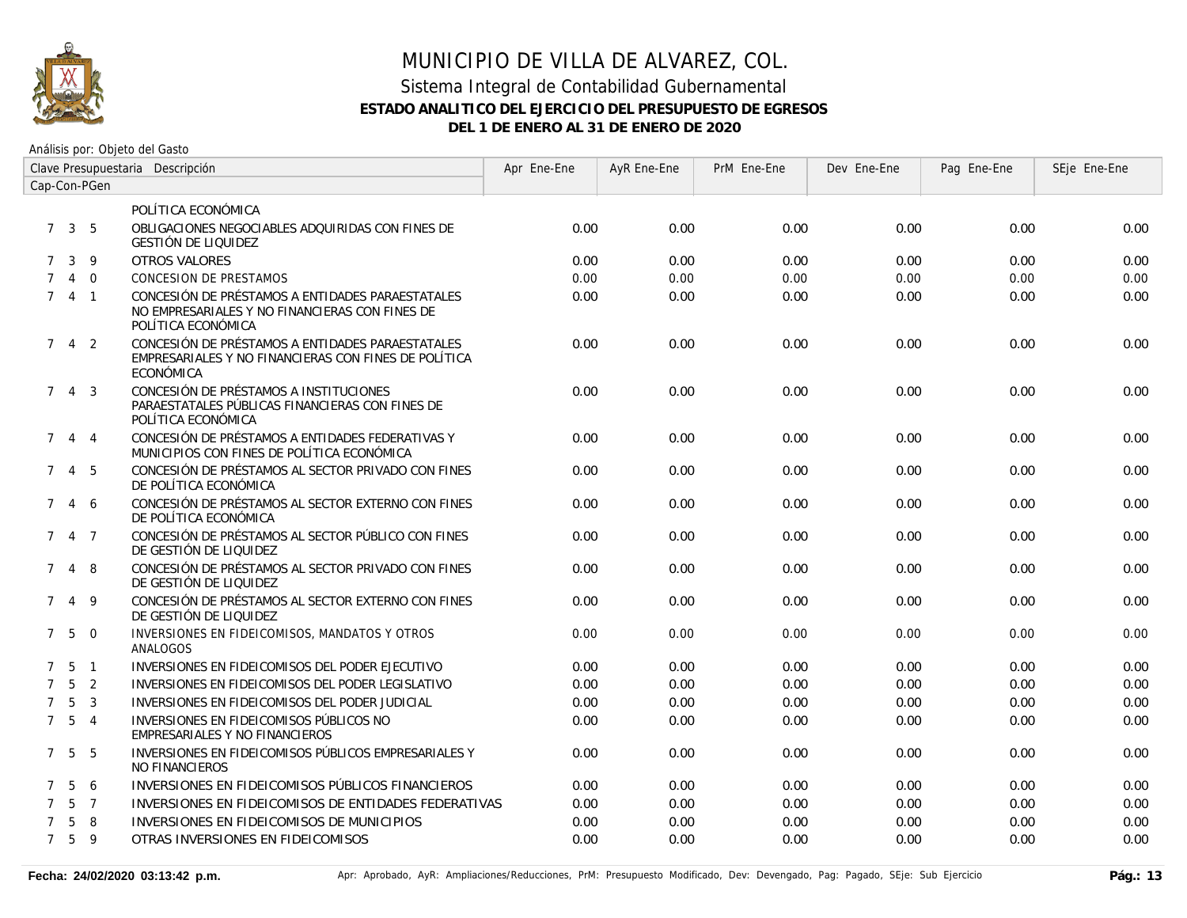

# MUNICIPIO DE VILLA DE ALVAREZ, COL.

#### Sistema Integral de Contabilidad Gubernamental **ESTADO ANALITICO DEL EJERCICIO DEL PRESUPUESTO DE EGRESOS DEL 1 DE ENERO AL 31 DE ENERO DE 2020**

| Clave Presupuestaria Descripción |                     |                |                                                                                                                          | Apr Ene-Ene | AyR Ene-Ene | PrM Ene-Ene | Dev Ene-Ene | Pag Ene-Ene | SEje Ene-Ene |
|----------------------------------|---------------------|----------------|--------------------------------------------------------------------------------------------------------------------------|-------------|-------------|-------------|-------------|-------------|--------------|
| Cap-Con-PGen                     |                     |                |                                                                                                                          |             |             |             |             |             |              |
|                                  |                     |                | POLÍTICA ECONÓMICA                                                                                                       |             |             |             |             |             |              |
|                                  | $7 \quad 3 \quad 5$ |                | OBLIGACIONES NEGOCIABLES ADQUIRIDAS CON FINES DE<br><b>GESTIÓN DE LIQUIDEZ</b>                                           | 0.00        | 0.00        | 0.00        | 0.00        | 0.00        | 0.00         |
|                                  | 7 3 9               |                | <b>OTROS VALORES</b>                                                                                                     | 0.00        | 0.00        | 0.00        | 0.00        | 0.00        | 0.00         |
|                                  |                     | $4 \quad 0$    | <b>CONCESION DE PRESTAMOS</b>                                                                                            | 0.00        | 0.00        | 0.00        | 0.00        | 0.00        | 0.00         |
|                                  | 741                 |                | CONCESIÓN DE PRÉSTAMOS A ENTIDADES PARAESTATALES<br>NO EMPRESARIALES Y NO FINANCIERAS CON FINES DE<br>POLÍTICA ECONÓMICA | 0.00        | 0.00        | 0.00        | 0.00        | 0.00        | 0.00         |
|                                  | 742                 |                | CONCESIÓN DE PRÉSTAMOS A ENTIDADES PARAESTATALES<br>EMPRESARIALES Y NO FINANCIERAS CON FINES DE POLÍTICA<br>ECONÓMICA    | 0.00        | 0.00        | 0.00        | 0.00        | 0.00        | 0.00         |
| $\mathcal{I}$                    |                     | $4 \quad 3$    | CONCESIÓN DE PRÉSTAMOS A INSTITUCIONES<br>PARAESTATALES PÚBLICAS FINANCIERAS CON FINES DE<br>POLÍTICA ECONÓMICA          | 0.00        | 0.00        | 0.00        | 0.00        | 0.00        | 0.00         |
| $7^{\circ}$                      |                     | 4 4            | CONCESIÓN DE PRÉSTAMOS A ENTIDADES FEDERATIVAS Y<br>MUNICIPIOS CON FINES DE POLÍTICA ECONÓMICA                           | 0.00        | 0.00        | 0.00        | 0.00        | 0.00        | 0.00         |
|                                  | 7 4 5               |                | CONCESIÓN DE PRÉSTAMOS AL SECTOR PRIVADO CON FINES<br>DE POLÍTICA ECONÓMICA                                              | 0.00        | 0.00        | 0.00        | 0.00        | 0.00        | 0.00         |
|                                  | 7 4 6               |                | CONCESIÓN DE PRÉSTAMOS AL SECTOR EXTERNO CON FINES<br>DE POLÍTICA ECONÓMICA                                              | 0.00        | 0.00        | 0.00        | 0.00        | 0.00        | 0.00         |
|                                  | 7 4 7               |                | CONCESIÓN DE PRÉSTAMOS AL SECTOR PÚBLICO CON FINES<br>DE GESTIÓN DE LIQUIDEZ                                             | 0.00        | 0.00        | 0.00        | 0.00        | 0.00        | 0.00         |
|                                  | 7 4 8               |                | CONCESIÓN DE PRÉSTAMOS AL SECTOR PRIVADO CON FINES<br>DE GESTIÓN DE LIQUIDEZ                                             | 0.00        | 0.00        | 0.00        | 0.00        | 0.00        | 0.00         |
|                                  | 7 4 9               |                | CONCESIÓN DE PRÉSTAMOS AL SECTOR EXTERNO CON FINES<br>DE GESTIÓN DE LIQUIDEZ                                             | 0.00        | 0.00        | 0.00        | 0.00        | 0.00        | 0.00         |
|                                  | $7\quad 5\quad 0$   |                | INVERSIONES EN FIDEICOMISOS, MANDATOS Y OTROS<br>ANALOGOS                                                                | 0.00        | 0.00        | 0.00        | 0.00        | 0.00        | 0.00         |
|                                  | $7\;\;5\;\;1$       |                | INVERSIONES EN FIDEICOMISOS DEL PODER EJECUTIVO                                                                          | 0.00        | 0.00        | 0.00        | 0.00        | 0.00        | 0.00         |
| $7^{\circ}$                      | $5\overline{)}$     | $\overline{2}$ | INVERSIONES EN FIDEICOMISOS DEL PODER LEGISLATIVO                                                                        | 0.00        | 0.00        | 0.00        | 0.00        | 0.00        | 0.00         |
| $7^{\circ}$                      | 5                   | $\overline{3}$ | INVERSIONES EN FIDEICOMISOS DEL PODER JUDICIAL                                                                           | 0.00        | 0.00        | 0.00        | 0.00        | 0.00        | 0.00         |
|                                  | $7\quad 5\quad 4$   |                | INVERSIONES EN FIDEICOMISOS PÚBLICOS NO<br>EMPRESARIALES Y NO FINANCIEROS                                                | 0.00        | 0.00        | 0.00        | 0.00        | 0.00        | 0.00         |
|                                  | $7\quad 5\quad 5$   |                | INVERSIONES EN FIDEICOMISOS PÚBLICOS EMPRESARIALES Y<br><b>NO FINANCIEROS</b>                                            | 0.00        | 0.00        | 0.00        | 0.00        | 0.00        | 0.00         |
| $7^{\circ}$                      | $5^{\circ}$         | 6              | INVERSIONES EN FIDEICOMISOS PÚBLICOS FINANCIEROS                                                                         | 0.00        | 0.00        | 0.00        | 0.00        | 0.00        | 0.00         |
| $\overline{7}$                   | -5                  | $\overline{7}$ | INVERSIONES EN FIDEICOMISOS DE ENTIDADES FEDERATIVAS                                                                     | 0.00        | 0.00        | 0.00        | 0.00        | 0.00        | 0.00         |
| $\overline{7}$                   | -5                  | -8             | INVERSIONES EN FIDEICOMISOS DE MUNICIPIOS                                                                                | 0.00        | 0.00        | 0.00        | 0.00        | 0.00        | 0.00         |
|                                  | 7 5 9               |                | OTRAS INVERSIONES EN FIDEICOMISOS                                                                                        | 0.00        | 0.00        | 0.00        | 0.00        | 0.00        | 0.00         |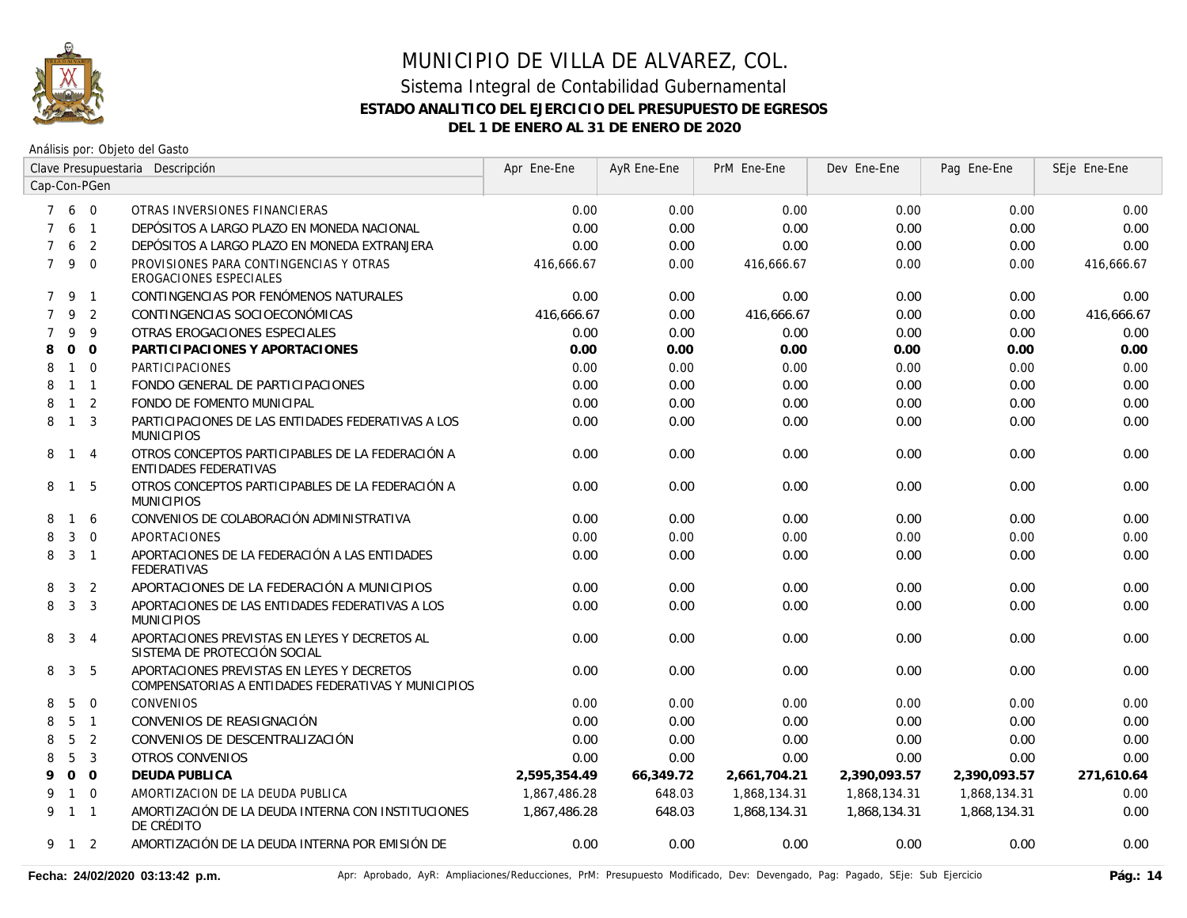

| Clave Presupuestaria Descripción |                |                |                                                                                                   | Apr Ene-Ene  | AyR Ene-Ene | PrM Ene-Ene  | Dev Ene-Ene  | Pag Ene-Ene  | SEje Ene-Ene |
|----------------------------------|----------------|----------------|---------------------------------------------------------------------------------------------------|--------------|-------------|--------------|--------------|--------------|--------------|
|                                  |                | Cap-Con-PGen   |                                                                                                   |              |             |              |              |              |              |
| $7^{\circ}$                      | 6 0            |                | OTRAS INVERSIONES FINANCIERAS                                                                     | 0.00         | 0.00        | 0.00         | 0.00         | 0.00         | 0.00         |
| $\overline{7}$                   |                | 6 <sub>1</sub> | DEPÓSITOS A LARGO PLAZO EN MONEDA NACIONAL                                                        | 0.00         | 0.00        | 0.00         | 0.00         | 0.00         | 0.00         |
| $\overline{7}$                   | 6              | 2              | DEPÓSITOS A LARGO PLAZO EN MONEDA EXTRANJERA                                                      | 0.00         | 0.00        | 0.00         | 0.00         | 0.00         | 0.00         |
| $7^{\circ}$                      | 9              | $\Omega$       | PROVISIONES PARA CONTINGENCIAS Y OTRAS<br><b>EROGACIONES ESPECIALES</b>                           | 416,666.67   | 0.00        | 416,666.67   | 0.00         | 0.00         | 416,666.67   |
| $\overline{7}$                   | 9              | $\overline{1}$ | CONTINGENCIAS POR FENÓMENOS NATURALES                                                             | 0.00         | 0.00        | 0.00         | 0.00         | 0.00         | 0.00         |
| $\overline{7}$                   | 9              | 2              | CONTINGENCIAS SOCIOECONÓMICAS                                                                     | 416,666.67   | 0.00        | 416,666.67   | 0.00         | 0.00         | 416,666.67   |
| $\overline{7}$                   | 9              | 9              | OTRAS EROGACIONES ESPECIALES                                                                      | 0.00         | 0.00        | 0.00         | 0.00         | 0.00         | 0.00         |
| 8                                | $\overline{O}$ | $\Omega$       | PARTICIPACIONES Y APORTACIONES                                                                    | 0.00         | 0.00        | 0.00         | 0.00         | 0.00         | 0.00         |
| 8                                | $\mathbf{1}$   | $\Omega$       | <b>PARTICIPACIONES</b>                                                                            | 0.00         | 0.00        | 0.00         | 0.00         | 0.00         | 0.00         |
| 8                                |                | $1 \quad 1$    | FONDO GENERAL DE PARTICIPACIONES                                                                  | 0.00         | 0.00        | 0.00         | 0.00         | 0.00         | 0.00         |
| 8                                | $\mathbf{1}$   | 2              | FONDO DE FOMENTO MUNICIPAL                                                                        | 0.00         | 0.00        | 0.00         | 0.00         | 0.00         | 0.00         |
| 8                                | $\mathbf{1}$   | $\overline{3}$ | PARTICIPACIONES DE LAS ENTIDADES FEDERATIVAS A LOS<br><b>MUNICIPIOS</b>                           | 0.00         | 0.00        | 0.00         | 0.00         | 0.00         | 0.00         |
| 8                                | $1 \quad 4$    |                | OTROS CONCEPTOS PARTICIPABLES DE LA FEDERACIÓN A<br><b>ENTIDADES FEDERATIVAS</b>                  | 0.00         | 0.00        | 0.00         | 0.00         | 0.00         | 0.00         |
| 8                                | $\mathbf{1}$   | - 5            | OTROS CONCEPTOS PARTICIPABLES DE LA FEDERACIÓN A<br><b>MUNICIPIOS</b>                             | 0.00         | 0.00        | 0.00         | 0.00         | 0.00         | 0.00         |
| 8                                | $\mathbf{1}$   | 6              | CONVENIOS DE COLABORACIÓN ADMINISTRATIVA                                                          | 0.00         | 0.00        | 0.00         | 0.00         | 0.00         | 0.00         |
| 8                                | 3              | $\overline{0}$ | APORTACIONES                                                                                      | 0.00         | 0.00        | 0.00         | 0.00         | 0.00         | 0.00         |
| 8                                | $\mathbf{3}$   | $\overline{1}$ | APORTACIONES DE LA FEDERACIÓN A LAS ENTIDADES<br><b>FEDERATIVAS</b>                               | 0.00         | 0.00        | 0.00         | 0.00         | 0.00         | 0.00         |
| 8                                | 3              | 2              | APORTACIONES DE LA FEDERACIÓN A MUNICIPIOS                                                        | 0.00         | 0.00        | 0.00         | 0.00         | 0.00         | 0.00         |
| 8                                | 3              | $\overline{3}$ | APORTACIONES DE LAS ENTIDADES FEDERATIVAS A LOS<br><b>MUNICIPIOS</b>                              | 0.00         | 0.00        | 0.00         | 0.00         | 0.00         | 0.00         |
| 8                                | 3              | $\overline{4}$ | APORTACIONES PREVISTAS EN LEYES Y DECRETOS AL<br>SISTEMA DE PROTECCIÓN SOCIAL                     | 0.00         | 0.00        | 0.00         | 0.00         | 0.00         | 0.00         |
| 8                                | 3              | 5              | APORTACIONES PREVISTAS EN LEYES Y DECRETOS<br>COMPENSATORIAS A ENTIDADES FEDERATIVAS Y MUNICIPIOS | 0.00         | 0.00        | 0.00         | 0.00         | 0.00         | 0.00         |
| 8                                | 5              | $\overline{0}$ | CONVENIOS                                                                                         | 0.00         | 0.00        | 0.00         | 0.00         | 0.00         | 0.00         |
| 8                                | 5              | $\overline{1}$ | CONVENIOS DE REASIGNACIÓN                                                                         | 0.00         | 0.00        | 0.00         | 0.00         | 0.00         | 0.00         |
| 8                                | 5              | 2              | CONVENIOS DE DESCENTRALIZACIÓN                                                                    | 0.00         | 0.00        | 0.00         | 0.00         | 0.00         | 0.00         |
| 8                                | 5              | $\overline{3}$ | <b>OTROS CONVENIOS</b>                                                                            | 0.00         | 0.00        | 0.00         | 0.00         | 0.00         | 0.00         |
| 9                                | 0 <sub>0</sub> |                | <b>DEUDA PUBLICA</b>                                                                              | 2,595,354.49 | 66,349.72   | 2,661,704.21 | 2,390,093.57 | 2,390,093.57 | 271,610.64   |
| 9                                |                | $1 \quad 0$    | AMORTIZACION DE LA DEUDA PUBLICA                                                                  | 1,867,486.28 | 648.03      | 1,868,134.31 | 1,868,134.31 | 1,868,134.31 | 0.00         |
|                                  | 9 1 1          |                | AMORTIZACIÓN DE LA DEUDA INTERNA CON INSTITUCIONES<br>DE CRÉDITO                                  | 1,867,486.28 | 648.03      | 1,868,134.31 | 1,868,134.31 | 1,868,134.31 | 0.00         |
|                                  | 9 1 2          |                | AMORTIZACIÓN DE LA DEUDA INTERNA POR EMISIÓN DE                                                   | 0.00         | 0.00        | 0.00         | 0.00         | 0.00         | 0.00         |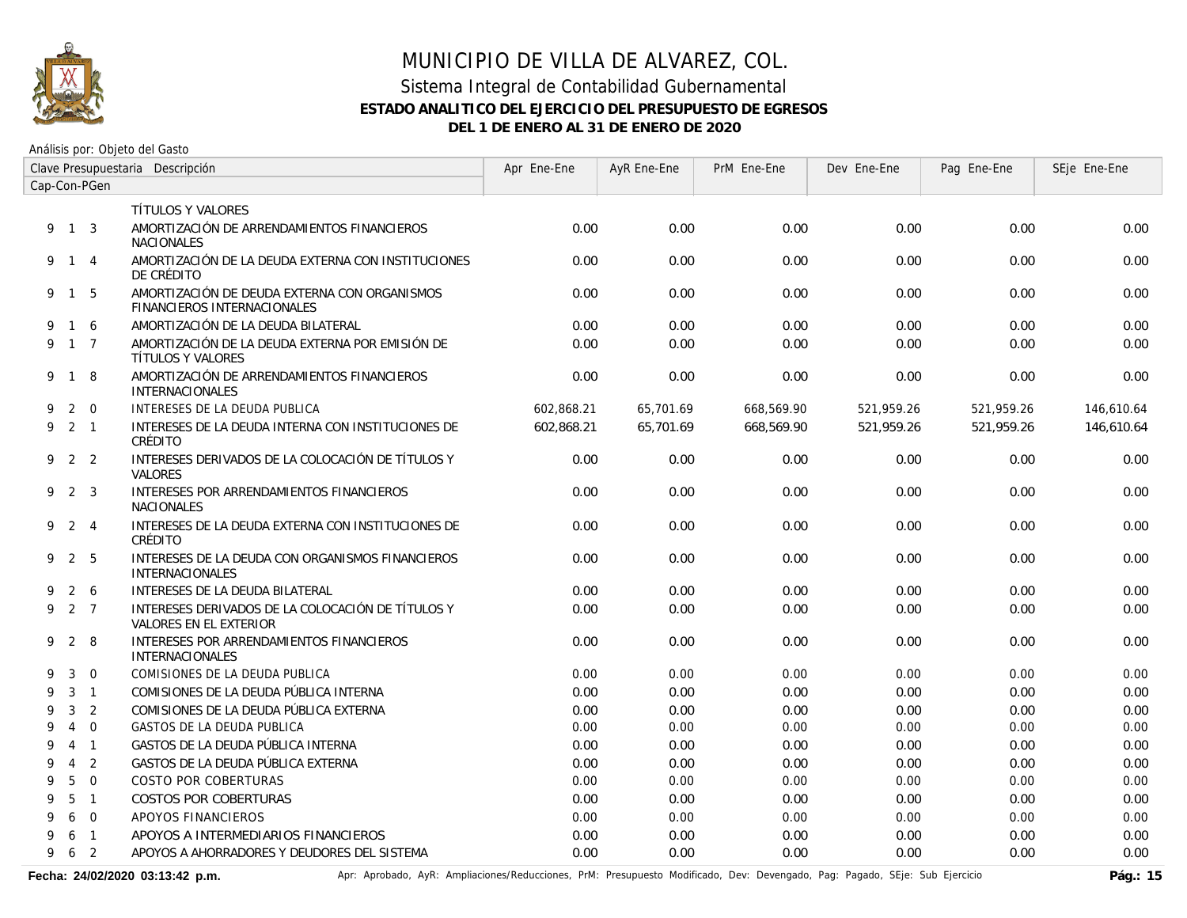

Análisis por: Objeto del Gasto

| Clave Presupuestaria Descripción |                |                |                                                                                    | Apr Ene-Ene | AyR Ene-Ene | PrM Ene-Ene | Dev Ene-Ene | Pag Ene-Ene | SEje Ene-Ene |
|----------------------------------|----------------|----------------|------------------------------------------------------------------------------------|-------------|-------------|-------------|-------------|-------------|--------------|
| Cap-Con-PGen                     |                |                |                                                                                    |             |             |             |             |             |              |
|                                  |                |                | <b>TÍTULOS Y VALORES</b>                                                           |             |             |             |             |             |              |
|                                  | 9 1 3          |                | AMORTIZACIÓN DE ARRENDAMIENTOS FINANCIEROS<br><b>NACIONALES</b>                    | 0.00        | 0.00        | 0.00        | 0.00        | 0.00        | 0.00         |
|                                  | 9 1 4          |                | AMORTIZACIÓN DE LA DEUDA EXTERNA CON INSTITUCIONES<br>DE CRÉDITO                   | 0.00        | 0.00        | 0.00        | 0.00        | 0.00        | 0.00         |
|                                  | 9 1 5          |                | AMORTIZACIÓN DE DEUDA EXTERNA CON ORGANISMOS<br>FINANCIEROS INTERNACIONALES        | 0.00        | 0.00        | 0.00        | 0.00        | 0.00        | 0.00         |
| 9                                | 1 6            |                | AMORTIZACIÓN DE LA DEUDA BILATERAL                                                 | 0.00        | 0.00        | 0.00        | 0.00        | 0.00        | 0.00         |
|                                  | 9 1 7          |                | AMORTIZACIÓN DE LA DEUDA EXTERNA POR EMISIÓN DE<br>TÍTULOS Y VALORES               | 0.00        | 0.00        | 0.00        | 0.00        | 0.00        | 0.00         |
|                                  | 9 1 8          |                | AMORTIZACIÓN DE ARRENDAMIENTOS FINANCIEROS<br>INTERNACIONALES                      | 0.00        | 0.00        | 0.00        | 0.00        | 0.00        | 0.00         |
| 9                                |                | $2 \quad 0$    | INTERESES DE LA DEUDA PUBLICA                                                      | 602.868.21  | 65.701.69   | 668,569.90  | 521.959.26  | 521,959.26  | 146.610.64   |
| 9                                | $2 \quad 1$    |                | INTERESES DE LA DEUDA INTERNA CON INSTITUCIONES DE<br>CRÉDITO                      | 602,868.21  | 65,701.69   | 668,569.90  | 521,959.26  | 521,959.26  | 146,610.64   |
| 9                                | 2 2            |                | INTERESES DERIVADOS DE LA COLOCACIÓN DE TÍTULOS Y<br><b>VALORES</b>                | 0.00        | 0.00        | 0.00        | 0.00        | 0.00        | 0.00         |
|                                  | 9 2 3          |                | INTERESES POR ARRENDAMIENTOS FINANCIEROS<br><b>NACIONALES</b>                      | 0.00        | 0.00        | 0.00        | 0.00        | 0.00        | 0.00         |
| 9                                | 2              | $\overline{4}$ | INTERESES DE LA DEUDA EXTERNA CON INSTITUCIONES DE<br>CRÉDITO                      | 0.00        | 0.00        | 0.00        | 0.00        | 0.00        | 0.00         |
|                                  | 9 2 5          |                | INTERESES DE LA DEUDA CON ORGANISMOS FINANCIEROS<br><b>INTERNACIONALES</b>         | 0.00        | 0.00        | 0.00        | 0.00        | 0.00        | 0.00         |
| 9                                |                | 2 6            | INTERESES DE LA DEUDA BILATERAL                                                    | 0.00        | 0.00        | 0.00        | 0.00        | 0.00        | 0.00         |
| 9                                | 2 7            |                | INTERESES DERIVADOS DE LA COLOCACIÓN DE TÍTULOS Y<br><b>VALORES EN EL EXTERIOR</b> | 0.00        | 0.00        | 0.00        | 0.00        | 0.00        | 0.00         |
| 9                                |                | 2 8            | INTERESES POR ARRENDAMIENTOS FINANCIEROS<br><b>INTERNACIONALES</b>                 | 0.00        | 0.00        | 0.00        | 0.00        | 0.00        | 0.00         |
| 9                                | 3              | $\overline{0}$ | COMISIONES DE LA DEUDA PUBLICA                                                     | 0.00        | 0.00        | 0.00        | 0.00        | 0.00        | 0.00         |
| 9                                | 3              | $\overline{1}$ | COMISIONES DE LA DEUDA PÚBLICA INTERNA                                             | 0.00        | 0.00        | 0.00        | 0.00        | 0.00        | 0.00         |
| 9                                | 3              | $\overline{2}$ | COMISIONES DE LA DEUDA PÚBLICA EXTERNA                                             | 0.00        | 0.00        | 0.00        | 0.00        | 0.00        | 0.00         |
| 9                                | $\overline{4}$ | $\Omega$       | <b>GASTOS DE LA DEUDA PUBLICA</b>                                                  | 0.00        | 0.00        | 0.00        | 0.00        | 0.00        | 0.00         |
| 9                                | $\overline{4}$ | $\overline{1}$ | GASTOS DE LA DEUDA PÚBLICA INTERNA                                                 | 0.00        | 0.00        | 0.00        | 0.00        | 0.00        | 0.00         |
| 9                                | $\overline{4}$ | 2              | GASTOS DE LA DEUDA PÚBLICA EXTERNA                                                 | 0.00        | 0.00        | 0.00        | 0.00        | 0.00        | 0.00         |
| 9                                | 5              | $\Omega$       | <b>COSTO POR COBERTURAS</b>                                                        | 0.00        | 0.00        | 0.00        | 0.00        | 0.00        | 0.00         |
| 9                                | 5              | $\overline{1}$ | <b>COSTOS POR COBERTURAS</b>                                                       | 0.00        | 0.00        | 0.00        | 0.00        | 0.00        | 0.00         |
| 9                                | 6              | $\Omega$       | APOYOS FINANCIEROS                                                                 | 0.00        | 0.00        | 0.00        | 0.00        | 0.00        | 0.00         |
| 9                                | 6              | $\overline{1}$ | APOYOS A INTERMEDIARIOS FINANCIEROS                                                | 0.00        | 0.00        | 0.00        | 0.00        | 0.00        | 0.00         |
| 9                                | 6              | $\overline{2}$ | APOYOS A AHORRADORES Y DEUDORES DEL SISTEMA                                        | 0.00        | 0.00        | 0.00        | 0.00        | 0.00        | 0.00         |

Fecha: 24/02/2020 03:13:42 p.m. **Aprichationes/Aprical AyR: Ampliaciones/Reducciones, PrM: Presupuesto Modificado, Dev: Devengado, Pag: Pagado, SEje: Sub Ejercicio Pág.: 15**